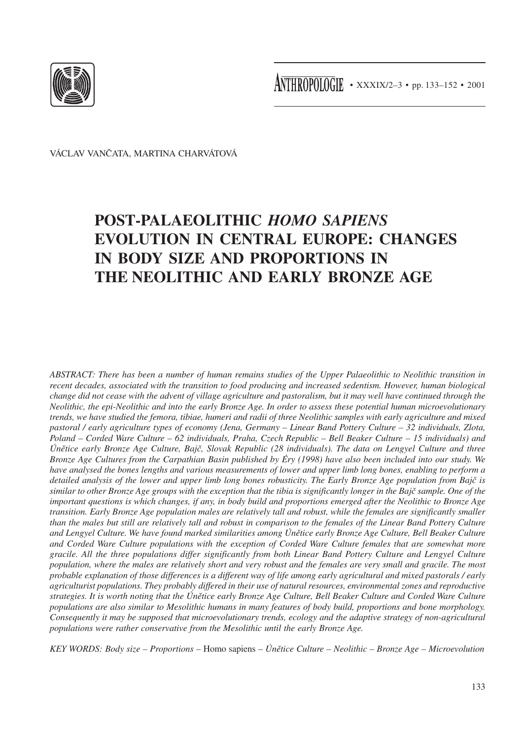

VÁCLAV VANČATA, MARTINA CHARVÁTOVÁ

# **POST-PALAEOLITHIC** *HOMO SAPIENS* **EVOLUTION IN CENTRAL EUROPE: CHANGES IN BODY SIZE AND PROPORTIONS IN THE NEOLITHIC AND EARLY BRONZE AGE**

*ABSTRACT: There has been a number of human remains studies of the Upper Palaeolithic to Neolithic transition in recent decades, associated with the transition to food producing and increased sedentism. However, human biological change did not cease with the advent of village agriculture and pastoralism, but it may well have continued through the Neolithic, the epi-Neolithic and into the early Bronze Age. In order to assess these potential human microevolutionary trends, we have studied the femora, tibiae, humeri and radii of three Neolithic samples with early agriculture and mixed pastoral / early agriculture types of economy (Jena, Germany – Linear Band Pottery Culture – 32 individuals, Zlota, Poland – Corded Ware Culture – 62 individuals, Praha, Czech Republic – Bell Beaker Culture – 15 individuals) and Únětice early Bronze Age Culture, Bajč, Slovak Republic (28 individuals). The data on Lengyel Culture and three Bronze Age Cultures from the Carpathian Basin published by Éry (1998) have also been included into our study. We have analysed the bones lengths and various measurements of lower and upper limb long bones, enabling to perform a detailed analysis of the lower and upper limb long bones robusticity. The Early Bronze Age population from Bajč is similar to other Bronze Age groups with the exception that the tibia is significantly longer in the Bajč sample. One of the important questions is which changes, if any, in body build and proportions emerged after the Neolithic to Bronze Age transition. Early Bronze Age population males are relatively tall and robust, while the females are significantly smaller than the males but still are relatively tall and robust in comparison to the females of the Linear Band Pottery Culture and Lengyel Culture. We have found marked similarities among Únětice early Bronze Age Culture, Bell Beaker Culture and Corded Ware Culture populations with the exception of Corded Ware Culture females that are somewhat more gracile. All the three populations differ significantly from both Linear Band Pottery Culture and Lengyel Culture population, where the males are relatively short and very robust and the females are very small and gracile. The most probable explanation of those differences is a different way of life among early agricultural and mixed pastorals / early agriculturist populations. They probably differed in their use of natural resources, environmental zones and reproductive strategies. It is worth noting that the Únětice early Bronze Age Culture, Bell Beaker Culture and Corded Ware Culture populations are also similar to Mesolithic humans in many features of body build, proportions and bone morphology. Consequently it may be supposed that microevolutionary trends, ecology and the adaptive strategy of non-agricultural populations were rather conservative from the Mesolithic until the early Bronze Age.*

*KEY WORDS: Body size – Proportions –* Homo sapiens *– Únětice Culture – Neolithic – Bronze Age – Microevolution*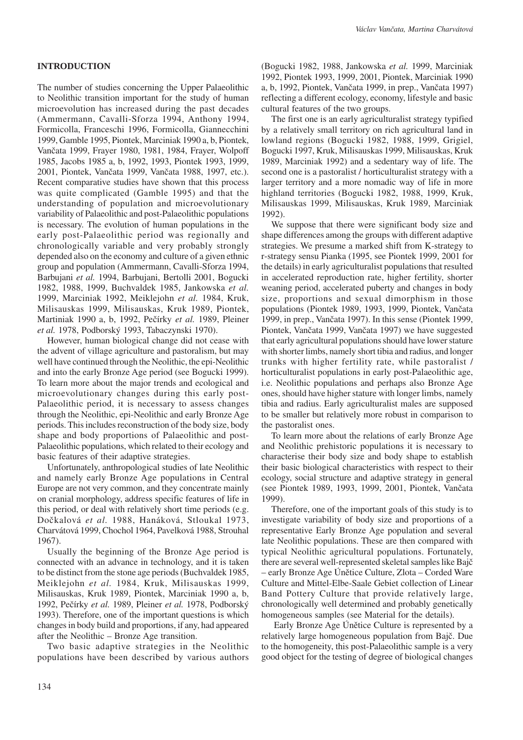## **INTRODUCTION**

The number of studies concerning the Upper Palaeolithic to Neolithic transition important for the study of human microevolution has increased during the past decades (Ammermann, Cavalli-Sforza 1994, Anthony 1994, Formicolla, Franceschi 1996, Formicolla, Giannecchini 1999, Gamble 1995, Piontek, Marciniak 1990 a, b, Piontek, Vančata 1999, Frayer 1980, 1981, 1984, Frayer, Wolpoff 1985, Jacobs 1985 a, b, 1992, 1993, Piontek 1993, 1999, 2001, Piontek, Vančata 1999, Vančata 1988, 1997, etc.). Recent comparative studies have shown that this process was quite complicated (Gamble 1995) and that the understanding of population and microevolutionary variability of Palaeolithic and post-Palaeolithic populations is necessary. The evolution of human populations in the early post-Palaeolithic period was regionally and chronologically variable and very probably strongly depended also on the economy and culture of a given ethnic group and population (Ammermann, Cavalli-Sforza 1994, Barbujani *et al.* 1994, Barbujani, Bertolli 2001, Bogucki 1982, 1988, 1999, Buchvaldek 1985, Jankowska *et al.* 1999, Marciniak 1992, Meiklejohn *et al.* 1984, Kruk, Milisauskas 1999, Milisauskas, Kruk 1989, Piontek, Martiniak 1990 a, b, 1992, Pečírky *et al.* 1989, Pleiner *et al.* 1978, Podborský 1993, Tabaczynski 1970).

However, human biological change did not cease with the advent of village agriculture and pastoralism, but may well have continued through the Neolithic, the epi-Neolithic and into the early Bronze Age period (see Bogucki 1999). To learn more about the major trends and ecological and microevolutionary changes during this early post-Palaeolithic period, it is necessary to assess changes through the Neolithic, epi-Neolithic and early Bronze Age periods. This includes reconstruction of the body size, body shape and body proportions of Palaeolithic and post-Palaeolithic populations, which related to their ecology and basic features of their adaptive strategies.

Unfortunately, anthropological studies of late Neolithic and namely early Bronze Age populations in Central Europe are not very common, and they concentrate mainly on cranial morphology, address specific features of life in this period, or deal with relatively short time periods (e.g. Dočkalová *et al.* 1988, Hanáková, Stloukal 1973, Charvátová 1999, Chochol 1964, Pavelková 1988, Strouhal 1967).

Usually the beginning of the Bronze Age period is connected with an advance in technology, and it is taken to be distinct from the stone age periods (Buchvaldek 1985, Meiklejohn *et al.* 1984, Kruk, Milisauskas 1999, Milisauskas, Kruk 1989, Piontek, Marciniak 1990 a, b, 1992, Pečírky *et al.* 1989, Pleiner *et al.* 1978, Podborský 1993). Therefore, one of the important questions is which changes in body build and proportions, if any, had appeared after the Neolithic – Bronze Age transition.

Two basic adaptive strategies in the Neolithic populations have been described by various authors

(Bogucki 1982, 1988, Jankowska *et al.* 1999, Marciniak 1992, Piontek 1993, 1999, 2001, Piontek, Marciniak 1990 a, b, 1992, Piontek, Vančata 1999, in prep., Vančata 1997) reflecting a different ecology, economy, lifestyle and basic cultural features of the two groups.

The first one is an early agriculturalist strategy typified by a relatively small territory on rich agricultural land in lowland regions (Bogucki 1982, 1988, 1999, Grigiel, Bogucki 1997, Kruk, Milisauskas 1999, Milisauskas, Kruk 1989, Marciniak 1992) and a sedentary way of life. The second one is a pastoralist / horticulturalist strategy with a larger territory and a more nomadic way of life in more highland territories (Bogucki 1982, 1988, 1999, Kruk, Milisauskas 1999, Milisauskas, Kruk 1989, Marciniak 1992).

We suppose that there were significant body size and shape differences among the groups with different adaptive strategies. We presume a marked shift from K-strategy to r-strategy sensu Pianka (1995, see Piontek 1999, 2001 for the details) in early agriculturalist populations that resulted in accelerated reproduction rate, higher fertility, shorter weaning period, accelerated puberty and changes in body size, proportions and sexual dimorphism in those populations (Piontek 1989, 1993, 1999, Piontek, Vančata 1999, in prep., Vančata 1997). In this sense (Piontek 1999, Piontek, Vančata 1999, Vančata 1997) we have suggested that early agricultural populations should have lower stature with shorter limbs, namely short tibia and radius, and longer trunks with higher fertility rate, while pastoralist / horticulturalist populations in early post-Palaeolithic age, i.e. Neolithic populations and perhaps also Bronze Age ones, should have higher stature with longer limbs, namely tibia and radius. Early agriculturalist males are supposed to be smaller but relatively more robust in comparison to the pastoralist ones.

To learn more about the relations of early Bronze Age and Neolithic prehistoric populations it is necessary to characterise their body size and body shape to establish their basic biological characteristics with respect to their ecology, social structure and adaptive strategy in general (see Piontek 1989, 1993, 1999, 2001, Piontek, Vančata 1999).

Therefore, one of the important goals of this study is to investigate variability of body size and proportions of a representative Early Bronze Age population and several late Neolithic populations. These are then compared with typical Neolithic agricultural populations. Fortunately, there are several well-represented skeletal samples like Bajč – early Bronze Age Únětice Culture, Zlota – Corded Ware Culture and Mittel-Elbe-Saale Gebiet collection of Linear Band Pottery Culture that provide relatively large, chronologically well determined and probably genetically homogeneous samples (see Material for the details).

 Early Bronze Age Únětice Culture is represented by a relatively large homogeneous population from Bajč. Due to the homogeneity, this post-Palaeolithic sample is a very good object for the testing of degree of biological changes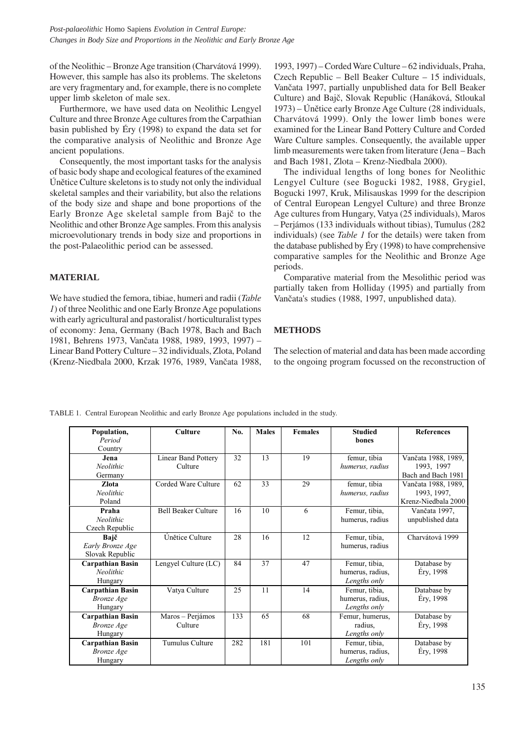of the Neolithic – Bronze Age transition (Charvátová 1999). However, this sample has also its problems. The skeletons are very fragmentary and, for example, there is no complete upper limb skeleton of male sex.

Furthermore, we have used data on Neolithic Lengyel Culture and three Bronze Age cultures from the Carpathian basin published by Éry (1998) to expand the data set for the comparative analysis of Neolithic and Bronze Age ancient populations.

Consequently, the most important tasks for the analysis of basic body shape and ecological features of the examined Únětice Culture skeletons is to study not only the individual skeletal samples and their variability, but also the relations of the body size and shape and bone proportions of the Early Bronze Age skeletal sample from Bajč to the Neolithic and other Bronze Age samples. From this analysis microevolutionary trends in body size and proportions in the post-Palaeolithic period can be assessed.

## **MATERIAL**

We have studied the femora, tibiae, humeri and radii (*Table 1*) of three Neolithic and one Early Bronze Age populations with early agricultural and pastoralist / horticulturalist types of economy: Jena, Germany (Bach 1978, Bach and Bach 1981, Behrens 1973, Vančata 1988, 1989, 1993, 1997) – Linear Band Pottery Culture – 32 individuals, Zlota, Poland (Krenz-Niedbala 2000, Krzak 1976, 1989, Vančata 1988,

1993, 1997) – Corded Ware Culture – 62 individuals, Praha, Czech Republic – Bell Beaker Culture – 15 individuals, Vančata 1997, partially unpublished data for Bell Beaker Culture) and Bajč, Slovak Republic (Hanáková, Stloukal 1973) – Únětice early Bronze Age Culture (28 individuals, Charvátová 1999). Only the lower limb bones were examined for the Linear Band Pottery Culture and Corded Ware Culture samples. Consequently, the available upper limb measurements were taken from literature (Jena – Bach and Bach 1981, Zlota – Krenz-Niedbala 2000).

The individual lengths of long bones for Neolithic Lengyel Culture (see Bogucki 1982, 1988, Grygiel, Bogucki 1997, Kruk, Milisauskas 1999 for the descripion of Central European Lengyel Culture) and three Bronze Age cultures from Hungary, Vatya (25 individuals), Maros – Perjámos (133 individuals without tibias), Tumulus (282 individuals) (see *Table 1* for the details) were taken from the database published by Éry (1998) to have comprehensive comparative samples for the Neolithic and Bronze Age periods.

Comparative material from the Mesolithic period was partially taken from Holliday (1995) and partially from Vančata's studies (1988, 1997, unpublished data).

# **METHODS**

The selection of material and data has been made according to the ongoing program focussed on the reconstruction of

| Population,             | <b>Culture</b>             | No. | <b>Males</b> | <b>Females</b> | <b>Studied</b>   | <b>References</b>   |
|-------------------------|----------------------------|-----|--------------|----------------|------------------|---------------------|
| Period                  |                            |     |              |                | bones            |                     |
| Country                 |                            |     |              |                |                  |                     |
| Jena                    | <b>Linear Band Pottery</b> | 32  | 13           | 19             | femur, tibia     | Vančata 1988, 1989, |
| <b>Neolithic</b>        | Culture                    |     |              |                | humerus, radius  | 1993, 1997          |
| Germany                 |                            |     |              |                |                  | Bach and Bach 1981  |
| <b>Zlota</b>            | Corded Ware Culture        | 62  | 33           | 29             | femur, tibia     | Vančata 1988, 1989, |
| <b>Neolithic</b>        |                            |     |              |                | humerus, radius  | 1993, 1997,         |
| Poland                  |                            |     |              |                |                  | Krenz-Niedbala 2000 |
| Praha                   | <b>Bell Beaker Culture</b> | 16  | 10           | 6              | Femur, tibia,    | Vančata 1997,       |
| <b>Neolithic</b>        |                            |     |              |                | humerus, radius  | unpublished data    |
| Czech Republic          |                            |     |              |                |                  |                     |
| Bajč                    | Únětice Culture            | 28  | 16           | 12             | Femur, tibia,    | Charvátová 1999     |
| Early Bronze Age        |                            |     |              |                | humerus, radius  |                     |
| Slovak Republic         |                            |     |              |                |                  |                     |
| <b>Carpathian Basin</b> | Lengyel Culture (LC)       | 84  | 37           | 47             | Femur, tibia,    | Database by         |
| <b>Neolithic</b>        |                            |     |              |                | humerus, radius, | Éry, 1998           |
| Hungary                 |                            |     |              |                | Lengths only     |                     |
| <b>Carpathian Basin</b> | Vatya Culture              | 25  | 11           | 14             | Femur, tibia,    | Database by         |
| <b>Bronze</b> Age       |                            |     |              |                | humerus, radius, | Éry, 1998           |
| Hungary                 |                            |     |              |                | Lengths only     |                     |
| <b>Carpathian Basin</b> | Maros - Perjámos           | 133 | 65           | 68             | Femur, humerus,  | Database by         |
| <b>Bronze</b> Age       | Culture                    |     |              |                | radius.          | Éry, 1998           |
| Hungary                 |                            |     |              |                | Lengths only     |                     |
| <b>Carpathian Basin</b> | Tumulus Culture            | 282 | 181          | 101            | Femur, tibia,    | Database by         |
| <b>Bronze</b> Age       |                            |     |              |                | humerus, radius, | Éry, 1998           |
| Hungary                 |                            |     |              |                | Lengths only     |                     |

TABLE 1. Central European Neolithic and early Bronze Age populations included in the study.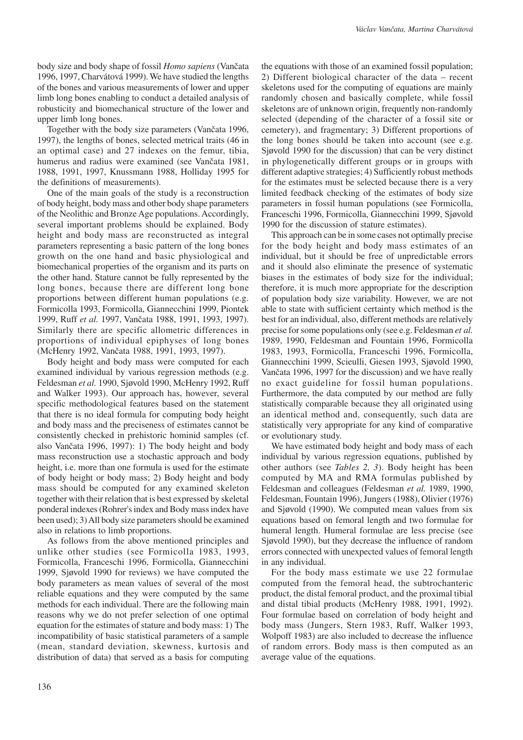body size and body shape of fossil *Homo sapiens* (Vančata 1996, 1997, Charvátová 1999). We have studied the lengths of the bones and various measurements of lower and upper limb long bones enabling to conduct a detailed analysis of robusticity and biomechanical structure of the lower and upper limb long bones.

Together with the body size parameters (Vančata 1996, 1997), the lengths of bones, selected metrical traits (46 in an optimal case) and 27 indexes on the femur, tibia, humerus and radius were examined (see Vančata 1981, 1988, 1991, 1997, Knussmann 1988, Holliday 1995 for the definitions of measurements).

One of the main goals of the study is a reconstruction of body height, body mass and other body shape parameters of the Neolithic and Bronze Age populations. Accordingly, several important problems should be explained. Body height and body mass are reconstructed as integral parameters representing a basic pattern of the long bones growth on the one hand and basic physiological and biomechanical properties of the organism and its parts on the other hand. Stature cannot be fully represented by the long bones, because there are different long bone proportions between different human populations (e.g. Formicolla 1993, Formicolla, Giannecchini 1999, Piontek 1999, Ruff *et al.* 1997, Vančata 1988, 1991, 1993, 1997). Similarly there are specific allometric differences in proportions of individual epiphyses of long bones (McHenry 1992, Vančata 1988, 1991, 1993, 1997).

Body height and body mass were computed for each examined individual by various regression methods (e.g. Feldesman *et al.* 1990, Sjøvold 1990, McHenry 1992, Ruff and Walker 1993). Our approach has, however, several specific methodological features based on the statement that there is no ideal formula for computing body height and body mass and the preciseness of estimates cannot be consistently checked in prehistoric hominid samples (cf. also Vančata 1996, 1997): 1) The body height and body mass reconstruction use a stochastic approach and body height, i.e. more than one formula is used for the estimate of body height or body mass; 2) Body height and body mass should be computed for any examined skeleton together with their relation that is best expressed by skeletal ponderal indexes (Rohrer's index and Body mass index have been used); 3) All body size parameters should be examined also in relations to limb proportions.

As follows from the above mentioned principles and unlike other studies (see Formicolla 1983, 1993, Formicolla, Franceschi 1996, Formicolla, Giannecchini 1999, Sjøvold 1990 for reviews) we have computed the body parameters as mean values of several of the most reliable equations and they were computed by the same methods for each individual. There are the following main reasons why we do not prefer selection of one optimal equation for the estimates of stature and body mass: 1) The incompatibility of basic statistical parameters of a sample (mean, standard deviation, skewness, kurtosis and distribution of data) that served as a basis for computing

the equations with those of an examined fossil population; 2) Different biological character of the data – recent skeletons used for the computing of equations are mainly randomly chosen and basically complete, while fossil skeletons are of unknown origin, frequently non-randomly selected (depending of the character of a fossil site or cemetery), and fragmentary; 3) Different proportions of the long bones should be taken into account (see e.g. Sjøvold 1990 for the discussion) that can be very distinct in phylogenetically different groups or in groups with different adaptive strategies; 4) Sufficiently robust methods for the estimates must be selected because there is a very limited feedback checking of the estimates of body size parameters in fossil human populations (see Formicolla, Franceschi 1996, Formicolla, Giannecchini 1999, Sjøvold 1990 for the discussion of stature estimates).

This approach can be in some cases not optimally precise for the body height and body mass estimates of an individual, but it should be free of unpredictable errors and it should also eliminate the presence of systematic biases in the estimates of body size for the individual; therefore, it is much more appropriate for the description of population body size variability. However, we are not able to state with sufficient certainty which method is the best for an individual, also, different methods are relatively precise for some populations only (see e.g. Feldesman *et al.* 1989, 1990, Feldesman and Fountain 1996, Formicolla 1983, 1993, Formicolla, Franceschi 1996, Formicolla, Giannecchini 1999, Scieulli, Giesen 1993, Sjøvold 1990, Vančata 1996, 1997 for the discussion) and we have really no exact guideline for fossil human populations. Furthermore, the data computed by our method are fully statistically comparable because they all originated using an identical method and, consequently, such data are statistically very appropriate for any kind of comparative or evolutionary study.

We have estimated body height and body mass of each individual by various regression equations, published by other authors (see *Tables 2, 3*). Body height has been computed by MA and RMA formulas published by Feldesman and colleagues (Feldesman *et al.* 1989, 1990, Feldesman, Fountain 1996), Jungers (1988), Olivier (1976) and Sjøvold (1990). We computed mean values from six equations based on femoral length and two formulae for humeral length. Humeral formulae are less precise (see Sjøvold 1990), but they decrease the influence of random errors connected with unexpected values of femoral length in any individual.

For the body mass estimate we use 22 formulae computed from the femoral head, the subtrochanteric product, the distal femoral product, and the proximal tibial and distal tibial products (McHenry 1988, 1991, 1992). Four formulae based on correlation of body height and body mass (Jungers, Stern 1983, Ruff, Walker 1993, Wolpoff 1983) are also included to decrease the influence of random errors. Body mass is then computed as an average value of the equations.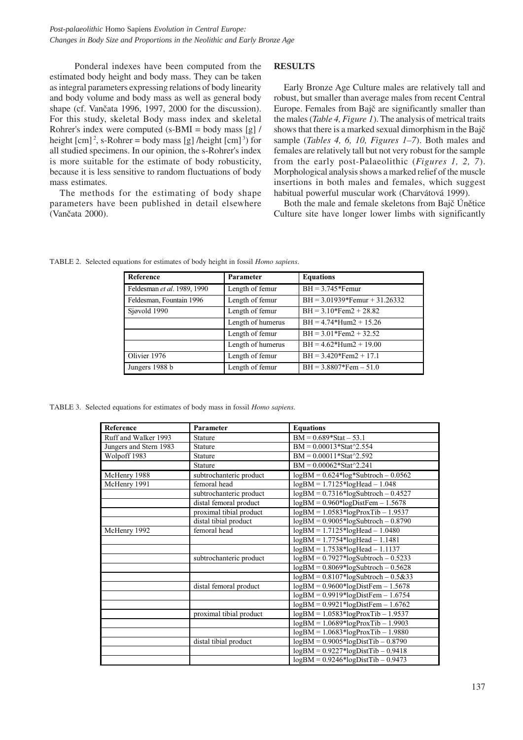Ponderal indexes have been computed from the estimated body height and body mass. They can be taken as integral parameters expressing relations of body linearity and body volume and body mass as well as general body shape (cf. Vančata 1996, 1997, 2000 for the discussion). For this study, skeletal Body mass index and skeletal Rohrer's index were computed (s-BMI = body mass [g] / height  $\lceil \text{cm} \rceil^2$ , s-Rohrer = body mass  $\lceil \text{g} \rceil$  /height  $\lceil \text{cm} \rceil^3$  for all studied specimens. In our opinion, the s-Rohrer's index is more suitable for the estimate of body robusticity, because it is less sensitive to random fluctuations of body mass estimates.

The methods for the estimating of body shape parameters have been published in detail elsewhere (Vančata 2000).

## **RESULTS**

Early Bronze Age Culture males are relatively tall and robust, but smaller than average males from recent Central Europe. Females from Bajč are significantly smaller than the males (*Table 4, Figure 1*). The analysis of metrical traits shows that there is a marked sexual dimorphism in the Bajč sample (*Tables 4, 6, 10, Figures 1–7*). Both males and females are relatively tall but not very robust for the sample from the early post-Palaeolithic (*Figures 1, 2, 7*). Morphological analysis shows a marked relief of the muscle insertions in both males and females, which suggest habitual powerful muscular work (Charvátová 1999).

Both the male and female skeletons from Bajč Únětice Culture site have longer lower limbs with significantly

| <b>Reference</b>            | Parameter         | <b>Equations</b>                |
|-----------------------------|-------------------|---------------------------------|
| Feldesman et al. 1989, 1990 | Length of femur   | $BH = 3.745*Femur$              |
| Feldesman, Fountain 1996    | Length of femur   | $BH = 3.01939*Femur + 31.26332$ |
| Sjøvold 1990                | Length of femur   | $BH = 3.10*Fem2 + 28.82$        |
|                             | Length of humerus | $BH = 4.74*Hum2 + 15.26$        |
|                             | Length of femur   | $BH = 3.01*Fem2 + 32.52$        |
|                             | Length of humerus | $BH = 4.62*Hum2 + 19.00$        |
| Olivier 1976                | Length of femur   | $BH = 3.420*Fem2 + 17.1$        |
| Jungers 1988 b              | Length of femur   | $BH = 3.8807*Fem - 51.0$        |

TABLE 2. Selected equations for estimates of body height in fossil *Homo sapiens*.

TABLE 3. Selected equations for estimates of body mass in fossil *Homo sapiens.*

| <b>Reference</b>       | Parameter               | <b>Equations</b>                        |
|------------------------|-------------------------|-----------------------------------------|
| Ruff and Walker 1993   | <b>Stature</b>          | $BM = 0.689*Stat - 53.1$                |
| Jungers and Stern 1983 | <b>Stature</b>          | $BM = 0.00013*Stat^2.554$               |
| Wolpoff 1983           | <b>Stature</b>          | $BM = 0.00011*Stat^2.592$               |
|                        | <b>Stature</b>          | $BM = 0.00062*Stat^2.241$               |
| McHenry 1988           | subtrochanteric product | $logBM = 0.624*log*Subtroch - 0.0562$   |
| McHenry 1991           | femoral head            | $logBM = 1.7125 * logHead - 1.048$      |
|                        | subtrochanteric product | $logBM = 0.7316*logSubtroch - 0.4527$   |
|                        | distal femoral product  | $logBM = 0.960*logDistFem - 1.5678$     |
|                        | proximal tibial product | $logBM = 1.0583 * logProxTib - 1.9537$  |
|                        | distal tibial product   | $logBM = 0.9005 * logSubtroch - 0.8790$ |
| McHenry 1992           | femoral head            | $logBM = 1.7125 * logHead - 1.0480$     |
|                        |                         | $logBM = 1.7754 * logHead - 1.1481$     |
|                        |                         | $logBM = 1.7538 * logHead - 1.1137$     |
|                        | subtrochanteric product | $logBM = 0.7927*logSubtroch - 0.5233$   |
|                        |                         | $logBM = 0.8069*logSubtroch - 0.5628$   |
|                        |                         | $logBM = 0.8107*logSubtroch - 0.5&33$   |
|                        | distal femoral product  | $logBM = 0.9600*logDistFem - 1.5678$    |
|                        |                         | $logBM = 0.9919 * logDistFem - 1.6754$  |
|                        |                         | $logBM = 0.9921 * logDistFem - 1.6762$  |
|                        | proximal tibial product | $logBM = 1.0583 * logProxTib - 1.9537$  |
|                        |                         | $logBM = 1.0689*logProxTib - 1.9903$    |
|                        |                         | $logBM = 1.0683 * logProxTib - 1.9880$  |
|                        | distal tibial product   | $logBM = 0.9005 * logDistTip - 0.8790$  |
|                        |                         | $logBM = 0.9227 * logDist Tib - 0.9418$ |
|                        |                         | $logBM = 0.9246 * logDistTip - 0.9473$  |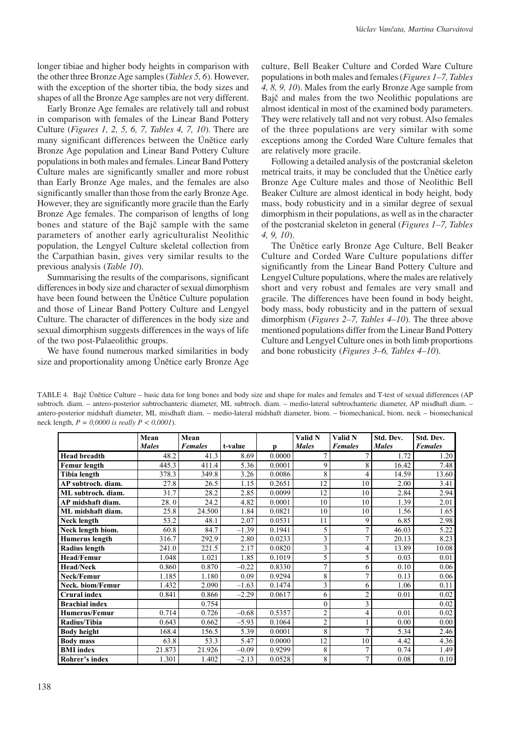longer tibiae and higher body heights in comparison with the other three Bronze Age samples (*Tables 5, 6*). However, with the exception of the shorter tibia, the body sizes and shapes of all the Bronze Age samples are not very different.

Early Bronze Age females are relatively tall and robust in comparison with females of the Linear Band Pottery Culture (*Figures 1, 2, 5, 6, 7, Tables 4, 7, 10*). There are many significant differences between the Únětice early Bronze Age population and Linear Band Pottery Culture populations in both males and females. Linear Band Pottery Culture males are significantly smaller and more robust than Early Bronze Age males, and the females are also significantly smaller than those from the early Bronze Age. However, they are significantly more gracile than the Early Bronze Age females. The comparison of lengths of long bones and stature of the Bajč sample with the same parameters of another early agriculturalist Neolithic population, the Lengyel Culture skeletal collection from the Carpathian basin, gives very similar results to the previous analysis (*Table 10*).

Summarising the results of the comparisons, significant differences in body size and character of sexual dimorphism have been found between the Únětice Culture population and those of Linear Band Pottery Culture and Lengyel Culture. The character of differences in the body size and sexual dimorphism suggests differences in the ways of life of the two post-Palaeolithic groups.

We have found numerous marked similarities in body size and proportionality among Únětice early Bronze Age culture, Bell Beaker Culture and Corded Ware Culture populations in both males and females (*Figures 1–7, Tables 4, 8, 9, 10*). Males from the early Bronze Age sample from Bajč and males from the two Neolithic populations are almost identical in most of the examined body parameters. They were relatively tall and not very robust. Also females of the three populations are very similar with some exceptions among the Corded Ware Culture females that are relatively more gracile.

Following a detailed analysis of the postcranial skeleton metrical traits, it may be concluded that the Únětice early Bronze Age Culture males and those of Neolithic Bell Beaker Culture are almost identical in body height, body mass, body robusticity and in a similar degree of sexual dimorphism in their populations, as well as in the character of the postcranial skeleton in general (*Figures 1–7, Tables 4, 9, 10*).

The Únětice early Bronze Age Culture, Bell Beaker Culture and Corded Ware Culture populations differ significantly from the Linear Band Pottery Culture and Lengyel Culture populations, where the males are relatively short and very robust and females are very small and gracile. The differences have been found in body height, body mass, body robusticity and in the pattern of sexual dimorphism (*Figures 2–7, Tables 4–10*). The three above mentioned populations differ from the Linear Band Pottery Culture and Lengyel Culture ones in both limb proportions and bone robusticity (*Figures 3–6, Tables 4–10*).

TABLE 4. Bajč Únětice Culture – basic data for long bones and body size and shape for males and females and T-test of sexual differences (AP subtroch. diam. – antero-posterior subtrochanteric diameter, ML subtroch. diam. – medio-lateral subtrochanteric diameter, AP misdhaft diam. – antero-posterior midshaft diameter, ML misdhaft diam. – medio-lateral midshaft diameter, biom. – biomechanical, biom. neck – biomechanical neck length, *P = 0,0000 is really P < 0,0001*).

|                       | Mean         | Mean           |         |        | Valid N                 | Valid N        | Std. Dev.    | Std. Dev.      |
|-----------------------|--------------|----------------|---------|--------|-------------------------|----------------|--------------|----------------|
|                       | <b>Males</b> | <b>Females</b> | t-value | р      | <b>Males</b>            | <b>Females</b> | <b>Males</b> | <b>Females</b> |
| <b>Head breadth</b>   | 48.2         | 41.3           | 8.69    | 0.0000 | 7                       | 7              | 1.72         | 1.20           |
| Femur length          | 445.3        | 411.4          | 5.36    | 0.0001 | 9                       | 8              | 16.42        | 7.48           |
| Tibia length          | 378.3        | 349.8          | 3.26    | 0.0086 | 8                       | $\overline{4}$ | 14.59        | 13.60          |
| AP subtroch. diam.    | 27.8         | 26.5           | 1.15    | 0.2651 | 12                      | 10             | 2.00         | 3.41           |
| ML subtroch. diam.    | 31.7         | 28.2           | 2.85    | 0.0099 | 12                      | 10             | 2.84         | 2.94           |
| AP midshaft diam.     | 28.0         | 24.2           | 4.82    | 0.0001 | 10                      | 10             | 1.39         | 2.01           |
| ML midshaft diam.     | 25.8         | 24.500         | 1.84    | 0.0821 | 10                      | 10             | 1.56         | 1.65           |
| Neck length           | 53.2         | 48.1           | 2.07    | 0.0531 | 11                      | 9              | 6.85         | 2.98           |
| Neck length biom.     | 60.8         | 84.7           | $-1.39$ | 0.1941 | 5                       | 7              | 46.03        | 5.22           |
| <b>Humerus</b> length | 316.7        | 292.9          | 2.80    | 0.0233 | 3                       | 7              | 20.13        | 8.23           |
| Radius length         | 241.0        | 221.5          | 2.17    | 0.0820 | 3                       | $\overline{4}$ | 13.89        | 10.08          |
| <b>Head/Femur</b>     | 1.048        | 1.021          | 1.85    | 0.1019 | 5                       | 5              | 0.03         | 0.01           |
| <b>Head/Neck</b>      | 0.860        | 0.870          | $-0.22$ | 0.8330 | 7                       | 6              | 0.10         | 0.06           |
| Neck/Femur            | 1.185        | 1.180          | 0.09    | 0.9294 | 8                       | 7              | 0.13         | 0.06           |
| Neck. biom/Femur      | 1.432        | 2.090          | $-1.63$ | 0.1474 | 3                       | 6              | 1.06         | 0.11           |
| <b>Crural index</b>   | 0.841        | 0.866          | $-2.29$ | 0.0617 | 6                       | $\overline{c}$ | 0.01         | 0.02           |
| <b>Brachial index</b> |              | 0.754          |         |        | $\mathbf{0}$            | 3              |              | 0.02           |
| <b>Humerus/Femur</b>  | 0.714        | 0.726          | $-0.68$ | 0.5357 | $\overline{\mathbf{c}}$ | $\overline{4}$ | 0.01         | 0.02           |
| Radius/Tibia          | 0.643        | 0.662          | $-5.93$ | 0.1064 | $\overline{2}$          |                | 0.00         | 0.00           |
| <b>Body height</b>    | 168.4        | 156.5          | 5.39    | 0.0001 | 8                       | 7              | 5.34         | 2.46           |
| <b>Body mass</b>      | 63.8         | 53.3           | 5.47    | 0.0000 | 12                      | 10             | 4.42         | 4.36           |
| <b>BMI</b> index      | 21.873       | 21.926         | $-0.09$ | 0.9299 | 8                       | 7              | 0.74         | 1.49           |
| Rohrer's index        | 1.301        | 1.402          | $-2.13$ | 0.0528 | 8                       | 7              | 0.08         | 0.10           |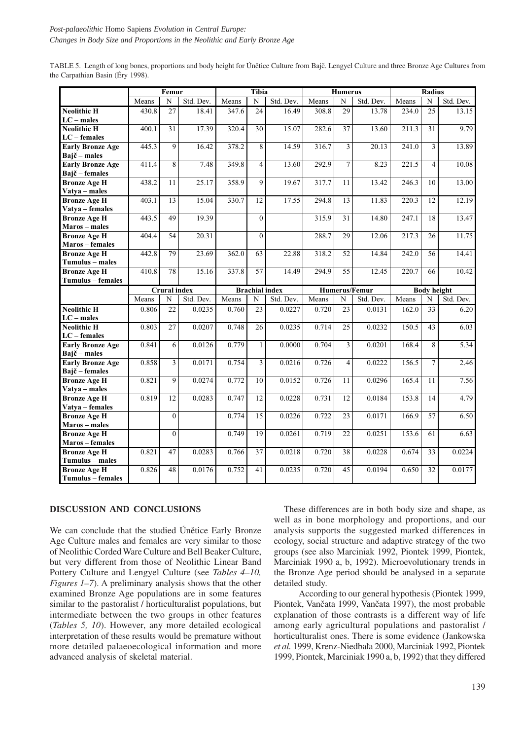|                                           |       | Femur               |           |       | Tibia                 |           |       | <b>Humerus</b>  |                      |       | <b>Radius</b>      |                |
|-------------------------------------------|-------|---------------------|-----------|-------|-----------------------|-----------|-------|-----------------|----------------------|-------|--------------------|----------------|
|                                           | Means | N                   | Std. Dev. | Means | N                     | Std. Dev. | Means | N               | Std. Dev.            | Means | N                  | Std. Dev.      |
| <b>Neolithic H</b>                        | 430.8 | 27                  | 18.41     | 347.6 | $\overline{24}$       | 16.49     | 308.8 | $\overline{29}$ | 13.78                | 234.0 | $\overline{25}$    | 13.15          |
| $LC$ – males                              |       |                     |           |       |                       |           |       |                 |                      |       |                    |                |
| <b>Neolithic H</b>                        | 400.1 | 31                  | 17.39     | 320.4 | $\overline{30}$       | 15.07     | 282.6 | 37              | 13.60                | 211.3 | 31                 | 9.79           |
| $LC$ – females                            |       |                     |           |       |                       |           |       |                 |                      |       |                    |                |
| <b>Early Bronze Age</b>                   | 445.3 | 9                   | 16.42     | 378.2 | 8                     | 14.59     | 316.7 | $\overline{3}$  | 20.13                | 241.0 | $\overline{3}$     | 13.89          |
| Bajč – males                              | 411.4 | 8                   | 7.48      | 349.8 | $\overline{4}$        | 13.60     | 292.9 | $\overline{7}$  | 8.23                 | 221.5 | $\overline{4}$     | 10.08          |
| <b>Early Bronze Age</b><br>Bajč – females |       |                     |           |       |                       |           |       |                 |                      |       |                    |                |
| <b>Bronze Age H</b>                       | 438.2 | 11                  | 25.17     | 358.9 | 9                     | 19.67     | 317.7 | 11              | 13.42                | 246.3 | 10                 | 13.00          |
| Vatya - males                             |       |                     |           |       |                       |           |       |                 |                      |       |                    |                |
| <b>Bronze Age H</b>                       | 403.1 | 13                  | 15.04     | 330.7 | 12                    | 17.55     | 294.8 | 13              | 11.83                | 220.3 | 12                 | 12.19          |
| Vatya - females                           |       |                     |           |       |                       |           |       |                 |                      |       |                    |                |
| <b>Bronze Age H</b>                       | 443.5 | 49                  | 19.39     |       | $\mathbf{0}$          |           | 315.9 | 31              | 14.80                | 247.1 | $\overline{18}$    | 13.47          |
| Maros - males                             |       |                     |           |       |                       |           |       |                 |                      |       |                    |                |
| <b>Bronze Age H</b>                       | 404.4 | 54                  | 20.31     |       | $\overline{0}$        |           | 288.7 | 29              | 12.06                | 217.3 | 26                 | 11.75          |
| Maros - females                           |       |                     |           |       |                       |           |       |                 |                      |       |                    |                |
| <b>Bronze Age H</b>                       | 442.8 | 79                  | 23.69     | 362.0 | 63                    | 22.88     | 318.2 | $\overline{52}$ | 14.84                | 242.0 | 56                 | 14.41          |
| Tumulus - males                           |       |                     |           |       |                       |           |       |                 |                      |       |                    |                |
| <b>Bronze Age H</b>                       | 410.8 | 78                  | 15.16     | 337.8 | 57                    | 14.49     | 294.9 | $\overline{55}$ | 12.45                | 220.7 | 66                 | 10.42          |
| Tumulus - females                         |       |                     |           |       |                       |           |       |                 |                      |       |                    |                |
|                                           |       |                     |           |       |                       |           |       |                 |                      |       |                    |                |
|                                           |       | <b>Crural</b> index |           |       | <b>Brachial index</b> |           |       |                 | <b>Humerus/Femur</b> |       | <b>Body height</b> |                |
|                                           | Means | ${\bf N}$           | Std. Dev. | Means | N                     | Std. Dev. | Means | N               | Std. Dev.            | Means | N                  | Std. Dev.      |
| <b>Neolithic H</b>                        | 0.806 | 22                  | 0.0235    | 0.760 | 23                    | 0.0227    | 0.720 | 23              | 0.0131               | 162.0 | 33                 | 6.20           |
| $LC$ – males                              |       |                     |           |       |                       |           |       |                 |                      |       |                    |                |
| <b>Neolithic H</b>                        | 0.803 | 27                  | 0.0207    | 0.748 | 26                    | 0.0235    | 0.714 | 25              | 0.0232               | 150.5 | 43                 | 6.03           |
| $LC$ – females                            |       |                     |           |       |                       |           |       |                 |                      |       |                    |                |
| <b>Early Bronze Age</b>                   | 0.841 | 6                   | 0.0126    | 0.779 | $\mathbf{1}$          | 0.0000    | 0.704 | $\overline{3}$  | 0.0201               | 168.4 | 8                  | 5.34           |
| Bajč – males                              |       |                     |           |       |                       |           |       | $\overline{4}$  |                      |       | $\overline{7}$     |                |
| <b>Early Bronze Age</b>                   | 0.858 | $\overline{3}$      | 0.0171    | 0.754 | $\overline{3}$        | 0.0216    | 0.726 |                 | 0.0222               | 156.5 |                    | 2.46           |
| Bajč – females<br><b>Bronze Age H</b>     | 0.821 | 9                   | 0.0274    | 0.772 | 10                    | 0.0152    | 0.726 | 11              | 0.0296               | 165.4 | 11                 | 7.56           |
| Vatya - males                             |       |                     |           |       |                       |           |       |                 |                      |       |                    |                |
| <b>Bronze Age H</b>                       | 0.819 | $\overline{12}$     | 0.0283    | 0.747 | $\overline{12}$       | 0.0228    | 0.731 | $\overline{12}$ | 0.0184               | 153.8 | 14                 | 4.79           |
| Vatya - females                           |       |                     |           |       |                       |           |       |                 |                      |       |                    |                |
| <b>Bronze Age H</b>                       |       | $\theta$            |           | 0.774 | $\overline{15}$       | 0.0226    | 0.722 | 23              | 0.0171               | 166.9 | $\overline{57}$    | 6.50           |
| Maros - males                             |       |                     |           |       |                       |           |       |                 |                      |       |                    |                |
| <b>Bronze Age H</b>                       |       | $\mathbf{0}$        |           | 0.749 | 19                    | 0.0261    | 0.719 | 22              | 0.0251               | 153.6 | 61                 |                |
| Maros - females                           |       |                     |           |       |                       |           |       |                 |                      |       |                    |                |
| <b>Bronze Age H</b>                       | 0.821 | 47                  | 0.0283    | 0.766 | $\overline{37}$       | 0.0218    | 0.720 | 38              | 0.0228               | 0.674 | 33                 | 0.0224         |
| Tumulus - males                           |       |                     |           |       |                       |           |       |                 |                      |       |                    |                |
| <b>Bronze Age H</b><br>Tumulus - females  | 0.826 | 48                  | 0.0176    | 0.752 | 41                    | 0.0235    | 0.720 | 45              | 0.0194               | 0.650 | 32                 | 6.63<br>0.0177 |

TABLE 5. Length of long bones, proportions and body height for Únětice Culture from Bajč. Lengyel Culture and three Bronze Age Cultures from the Carpathian Basin (Éry 1998).

## **DISCUSSION AND CONCLUSIONS**

We can conclude that the studied Únětice Early Bronze Age Culture males and females are very similar to those of Neolithic Corded Ware Culture and Bell Beaker Culture, but very different from those of Neolithic Linear Band Pottery Culture and Lengyel Culture (see *Tables 4–10, Figures 1–7*). A preliminary analysis shows that the other examined Bronze Age populations are in some features similar to the pastoralist / horticulturalist populations, but intermediate between the two groups in other features (*Tables 5, 10*). However, any more detailed ecological interpretation of these results would be premature without more detailed palaeoecological information and more advanced analysis of skeletal material.

These differences are in both body size and shape, as well as in bone morphology and proportions, and our analysis supports the suggested marked differences in ecology, social structure and adaptive strategy of the two groups (see also Marciniak 1992, Piontek 1999, Piontek, Marciniak 1990 a, b, 1992). Microevolutionary trends in the Bronze Age period should be analysed in a separate detailed study.

According to our general hypothesis (Piontek 1999, Piontek, Vančata 1999, Vančata 1997), the most probable explanation of those contrasts is a different way of life among early agricultural populations and pastoralist / horticulturalist ones. There is some evidence (Jankowska *et al.* 1999, Krenz-Niedbała 2000, Marciniak 1992, Piontek 1999, Piontek, Marciniak 1990 a, b, 1992) that they differed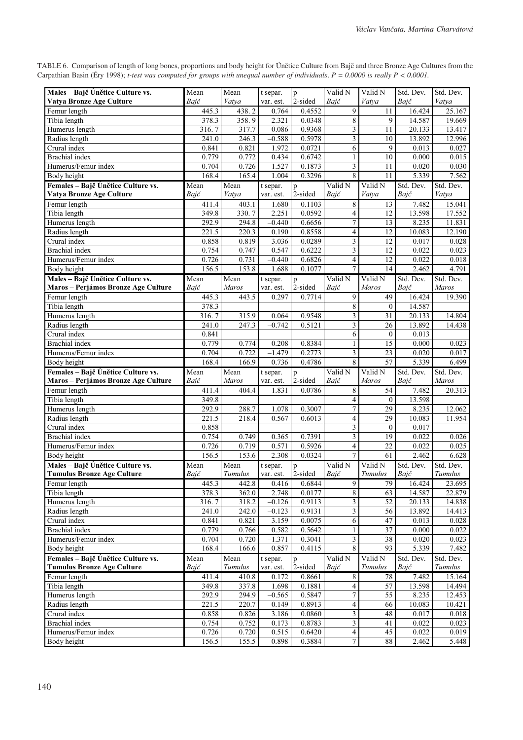TABLE 6. Comparison of length of long bones, proportions and body height for Únětice Culture from Bajč and three Bronze Age Cultures from the Carpathian Basin (Éry 1998); *t-test was computed for groups with unequal number of individuals*. *P = 0.0000 is really P < 0.0001.*

| Males - Bajč Únětice Culture vs.<br>Vatya Bronze Age Culture              | Mean<br>Bajč      | Mean<br>Vatya          | t separ.              | $\, {\bf p}$<br>2-sided | Valid N                            | Valid N<br>Vatya   | Std. Dev.<br>Bajč | Std. Dev.<br>Vatya   |
|---------------------------------------------------------------------------|-------------------|------------------------|-----------------------|-------------------------|------------------------------------|--------------------|-------------------|----------------------|
|                                                                           |                   |                        | var. est.             |                         | Bajč                               |                    |                   |                      |
| Femur length<br>Tibia length                                              | 445.3<br>378.3    | 438.2<br>358.9         | 0.764<br>2.321        | 0.4552<br>0.0348        | 9<br>8                             | 11<br>9            | 16.424<br>14.587  | 25.167<br>19.669     |
| Humerus length                                                            | 316.7             | 317.7                  | $-0.086$              | 0.9368                  | 3                                  | 11                 | 20.133            | 13.417               |
| Radius length                                                             | $\frac{1}{241.0}$ | 246.3                  | $-0.588$              | 0.5978                  | $\overline{\mathbf{3}}$            | 10                 | 13.892            | 12.996               |
| Crural index                                                              | 0.841             | 0.821                  | 1.972                 | 0.0721                  | 6                                  | 9                  | 0.013             | 0.027                |
| <b>Brachial</b> index                                                     | 0.779             | 0.772                  | 0.434                 | 0.6742                  | $\mathbf{1}$                       | 10                 | 0.000             | 0.015                |
| Humerus/Femur index                                                       | 0.704             | 0.726                  | $-1.527$              | 0.1873                  | $\overline{\mathbf{3}}$            | 11                 | 0.020             | 0.030                |
| <b>Body</b> height                                                        | 168.4             | 165.4                  | 1.004                 | 0.3296                  | 8                                  | 11                 | 5.339             | 7.562                |
| Females - Bajč Únětice Culture vs.                                        | Mean              | Mean                   | t separ.              | $\, {\bf p}$            | Valid N                            | Valid N            | Std. Dev.         | Std. Dev.            |
| Vatya Bronze Age Culture                                                  | Bajč              | Vatya                  | var. est.             | 2-sided                 | Bajč                               | Vatya              | Bajč              | Vatya                |
| Femur length                                                              | 411.4             | 403.1                  | 1.680                 | 0.1103                  | 8                                  | 13                 | 7.482             | 15.041               |
| Tibia length                                                              | 349.8             | 330.7                  | 2.251                 | 0.0592                  | $\overline{\mathbf{4}}$            | 12                 | 13.598            | 17.552               |
| Humerus length                                                            | 292.9             | 294.8                  | $-0.440$              | 0.6656                  | $\boldsymbol{7}$                   | 13                 | 8.235             | 11.831               |
| Radius length                                                             | 221.5             | 220.3                  | 0.190                 | 0.8558                  | $\overline{\mathbf{4}}$            | 12                 | 10.083            | 12.190               |
| Crural index                                                              | 0.858             | 0.819                  | 3.036                 | 0.0289                  | 3                                  | 12                 | 0.017             | 0.028                |
| <b>Brachial</b> index                                                     | 0.754             | 0.747                  | 0.547                 | 0.6222                  | $\mathfrak{Z}$                     | 12                 | 0.022             | 0.023                |
| Humerus/Femur index                                                       | 0.726             | 0.731                  | $-0.440$              | 0.6826                  | $\overline{\mathbf{4}}$            | 12                 | 0.022             | 0.018                |
| Body height                                                               | 156.5             | 153.8                  | 1.688                 | 0.1077                  | $\overline{7}$                     | 14                 | 2.462             | 4.791                |
| Males - Bajč Únětice Culture vs.                                          | Mean              | Mean<br><b>Maros</b>   | t separ.              | p                       | $\overline{V}$ alid N              | Valid N            | Std. Dev.         | Std. Dev.            |
| <b>Maros – Perjámos Bronze Age Culture</b><br>Femur length                | Bajč              | 443.5                  | var. est.<br>0.297    | 2-sided<br>0.7714       | Bajč                               | Maros<br>49        | Bajč              | Maros<br>19.390      |
| Tibia length                                                              | 445.3<br>378.3    |                        |                       |                         | $\overline{9}$<br>8                | $\mathbf{0}$       | 16.424<br>14.587  |                      |
| Humerus length                                                            | 316.7             | 315.9                  | 0.064                 | 0.9548                  | 3                                  | 31                 | 20.133            | 14.804               |
| Radius length                                                             | 241.0             | 247.3                  | $-0.742$              | 0.5121                  | 3                                  | 26                 | 13.892            | 14.438               |
| Crural index                                                              | 0.841             |                        |                       |                         | 6                                  | $\boldsymbol{0}$   | 0.013             |                      |
| <b>Brachial</b> index                                                     | 0.779             | 0.774                  | 0.208                 | 0.8384                  | $\mathbf{1}$                       | 15                 | 0.000             | 0.023                |
| Humerus/Femur index                                                       | 0.704             | 0.722                  | $-1.479$              | 0.2773                  | 3                                  | 23                 | 0.020             | 0.017                |
| Body height                                                               | 168.4             | 166.9                  | 0.736                 | 0.4786                  | $8\,$                              | 57                 | 5.339             | 6.499                |
|                                                                           |                   |                        |                       |                         |                                    |                    |                   |                      |
|                                                                           | Mean              |                        |                       |                         | Valid N                            |                    | Std. Dev.         | Std. Dev.            |
| Females - Bajč Únětice Culture vs.<br>Maros - Perjámos Bronze Age Culture | Bajč              | Mean<br>Maros          | t separ.<br>var. est. | $\mathbf{p}$<br>2-sided | Bajč                               | Valid N<br>Maros   | Bajč              | <b>Maros</b>         |
| Femur length                                                              | 411.4             | 404.4                  | 1.831                 | 0.0786                  | $\,$ 8 $\,$                        | 54                 | 7.482             | 20.313               |
| Tibia length                                                              | 349.8             |                        |                       |                         | $\overline{\mathcal{L}}$           | $\mathbf{0}$       | 13.598            |                      |
| Humerus length                                                            | 292.9             | 288.7                  | 1.078                 | 0.3007                  | 7                                  | 29                 | 8.235             | 12.062               |
| Radius length                                                             | 221.5             | 218.4                  | 0.567                 | 0.6013                  | $\overline{4}$                     | 29                 | 10.083            | 11.954               |
| Crural index                                                              | 0.858             |                        |                       |                         | 3                                  | $\theta$           | 0.017             |                      |
| <b>Brachial</b> index                                                     | 0.754             | 0.749                  | 0.365                 | 0.7391                  | 3                                  | 19                 | 0.022             | 0.026                |
| Humerus/Femur index                                                       | 0.726             | 0.719                  | 0.571                 | 0.5926                  | 4                                  | 22                 | 0.022             | 0.025                |
| Body height                                                               | 156.5             | 153.6                  | 2.308                 | 0.0324                  | $\overline{7}$                     | 61                 | 2.462             | 6.628                |
| Males - Bajč Únětice Culture vs.                                          | Mean              | Mean                   | t separ.              | $\mathbf{p}$            | Valid N                            | Valid N            | Std. Dev.         | Std. Dev.            |
| <b>Tumulus Bronze Age Culture</b>                                         | Bajč              | Tumulus                | var. est.             | 2-sided                 | Bajč                               | <b>Tumulus</b>     | Bajč              | Tumulus              |
| Femur length                                                              | 445.3             | 442.8                  | 0.416                 | 0.6844                  | $\overline{9}$                     | 79                 | 16.424            | 23.695               |
| Tibia length                                                              | 378.3             | 362.0                  | 2.748                 | 0.0177                  | $\sqrt{8}$                         | 63                 | 14.587            | 22.879               |
| Humerus length                                                            | 316.7             | 318.2                  | $-0.126$              | 0.9113                  | $\overline{\mathbf{3}}$            | 52                 | 20.133            | 14.838               |
| Radius length                                                             | 241.0             | 242.0                  | $-0.123$              | 0.9131                  | 3                                  | 56                 | 13.892            | 14.413               |
| Crural index                                                              | 0.841             | 0.821                  | 3.159                 | 0.0075                  | 6                                  | 47                 | 0.013             | 0.028                |
| <b>Brachial</b> index                                                     | 0.779             | 0.766                  | 0.582                 | 0.5642                  | $\mathbf{1}$                       | $\overline{37}$    | 0.000             | 0.022                |
| Humerus/Femur index                                                       | 0.704             | 0.720                  | $-1.371$              | 0.3041                  | 3                                  | 38                 | 0.020             | 0.023                |
| Body height                                                               | 168.4             | 166.6                  | 0.857                 | 0.4115                  | 8                                  | 93                 | 5.339             | 7.482                |
| Females - Bajč Únětice Culture vs.                                        | Mean<br>Bajč      | Mean<br><b>Tumulus</b> | t separ.              | $\mathbf{p}$            | Valid N<br>Bajč                    | Valid N<br>Tumulus | Std. Dev.         | Std. Dev.<br>Tumulus |
| <b>Tumulus Bronze Age Culture</b>                                         | 411.4             |                        | var. est.<br>0.172    | 2-sided<br>0.8661       |                                    |                    | Bajč              | 15.164               |
| Femur length                                                              | 349.8             | 410.8<br>337.8         | 1.698                 | 0.1881                  | $\,8\,$<br>$\overline{\mathbf{4}}$ | 78<br>57           | 7.482<br>13.598   | 14.494               |
| Tibia length<br>Humerus length                                            | 292.9             | 294.9                  | $-0.565$              | 0.5847                  | $\boldsymbol{7}$                   | 55                 | 8.235             | 12.453               |
| Radius length                                                             | 221.5             | 220.7                  | 0.149                 | 0.8913                  | $\overline{\mathbf{4}}$            | 66                 | 10.083            | 10.421               |
| Crural index                                                              | 0.858             | 0.826                  | 3.186                 | 0.0860                  | $\overline{\mathbf{3}}$            | 48                 | 0.017             | 0.018                |
| <b>Brachial</b> index                                                     | 0.754             | 0.752                  | 0.173                 | 0.8783                  | 3                                  | 41                 | 0.022             | 0.023                |
| Humerus/Femur index                                                       | 0.726             | 0.720                  | 0.515                 | 0.6420                  | $\overline{4}$                     | $\overline{45}$    | 0.022             | 0.019                |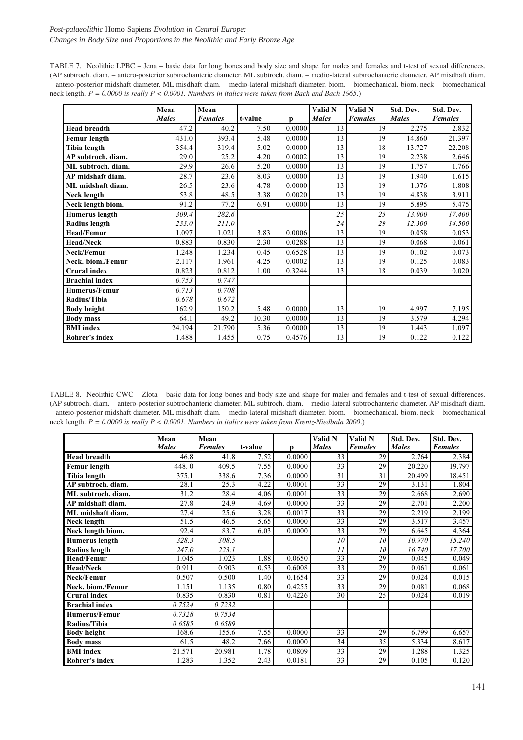## *Post-palaeolithic* Homo Sapiens *Evolution in Central Europe: Changes in Body Size and Proportions in the Neolithic and Early Bronze Age*

TABLE 7. Neolithic LPBC – Jena – basic data for long bones and body size and shape for males and females and t-test of sexual differences. (AP subtroch. diam. – antero-posterior subtrochanteric diameter. ML subtroch. diam. – medio-lateral subtrochanteric diameter. AP misdhaft diam. – antero-posterior midshaft diameter. ML misdhaft diam. – medio-lateral midshaft diameter. biom. – biomechanical. biom. neck – biomechanical neck length. *P = 0.0000 is really P < 0.0001. Numbers in italics were taken from Bach and Bach 1965*.)

|                       | Mean         | Mean           |         |        | Valid N      | Valid N        | Std. Dev.    | Std. Dev.      |
|-----------------------|--------------|----------------|---------|--------|--------------|----------------|--------------|----------------|
|                       | <b>Males</b> | <b>Females</b> | t-value | p      | <b>Males</b> | <b>Females</b> | <b>Males</b> | <b>Females</b> |
| <b>Head breadth</b>   | 47.2         | 40.2           | 7.50    | 0.0000 | 13           | 19             | 2.275        | 2.832          |
| Femur length          | 431.0        | 393.4          | 5.48    | 0.0000 | 13           | 19             | 14.860       | 21.397         |
| Tibia length          | 354.4        | 319.4          | 5.02    | 0.0000 | 13           | 18             | 13.727       | 22.208         |
| AP subtroch. diam.    | 29.0         | 25.2           | 4.20    | 0.0002 | 13           | 19             | 2.238        | 2.646          |
| ML subtroch. diam.    | 29.9         | 26.6           | 5.20    | 0.0000 | 13           | 19             | 1.757        | 1.766          |
| AP midshaft diam.     | 28.7         | 23.6           | 8.03    | 0.0000 | 13           | 19             | 1.940        | 1.615          |
| ML midshaft diam.     | 26.5         | 23.6           | 4.78    | 0.0000 | 13           | 19             | 1.376        | 1.808          |
| Neck length           | 53.8         | 48.5           | 3.38    | 0.0020 | 13           | 19             | 4.838        | 3.911          |
| Neck length biom.     | 91.2         | 77.2           | 6.91    | 0.0000 | 13           | 19             | 5.895        | 5.475          |
| <b>Humerus length</b> | 309.4        | 282.6          |         |        | 25           | 25             | 13.000       | 17.400         |
| <b>Radius length</b>  | 233.0        | 211.0          |         |        | 24           | 29             | 12.300       | 14.500         |
| <b>Head/Femur</b>     | 1.097        | 1.021          | 3.83    | 0.0006 | 13           | 19             | 0.058        | 0.053          |
| <b>Head/Neck</b>      | 0.883        | 0.830          | 2.30    | 0.0288 | 13           | 19             | 0.068        | 0.061          |
| Neck/Femur            | 1.248        | 1.234          | 0.45    | 0.6528 | 13           | 19             | 0.102        | 0.073          |
| Neck. biom./Femur     | 2.117        | 1.961          | 4.25    | 0.0002 | 13           | 19             | 0.125        | 0.083          |
| <b>Crural index</b>   | 0.823        | 0.812          | 1.00    | 0.3244 | 13           | 18             | 0.039        | 0.020          |
| <b>Brachial index</b> | 0.753        | 0.747          |         |        |              |                |              |                |
| <b>Humerus/Femur</b>  | 0.713        | 0.708          |         |        |              |                |              |                |
| Radius/Tibia          | 0.678        | 0.672          |         |        |              |                |              |                |
| <b>Body height</b>    | 162.9        | 150.2          | 5.48    | 0.0000 | 13           | 19             | 4.997        | 7.195          |
| <b>Body mass</b>      | 64.1         | 49.2           | 10.30   | 0.0000 | 13           | 19             | 3.579        | 4.294          |
| <b>BMI</b> index      | 24.194       | 21.790         | 5.36    | 0.0000 | 13           | 19             | 1.443        | 1.097          |
| Rohrer's index        | 1.488        | 1.455          | 0.75    | 0.4576 | 13           | 19             | 0.122        | 0.122          |

TABLE 8. Neolithic CWC – Zlota – basic data for long bones and body size and shape for males and females and t-test of sexual differences. (AP subtroch. diam. – antero-posterior subtrochanteric diameter. ML subtroch. diam. – medio-lateral subtrochanteric diameter. AP misdhaft diam. – antero-posterior midshaft diameter. ML misdhaft diam. – medio-lateral midshaft diameter. biom. – biomechanical. biom. neck – biomechanical neck length. *P = 0.0000 is really P < 0.0001*. *Numbers in italics were taken from Krentz-Niedbala 2000*.)

|                       | Mean         | Mean           |         |        | Valid N      | Valid N        | Std. Dev.    | Std. Dev.      |
|-----------------------|--------------|----------------|---------|--------|--------------|----------------|--------------|----------------|
|                       | <b>Males</b> | <b>Females</b> | t-value | D.     | <b>Males</b> | <b>Females</b> | <b>Males</b> | <b>Females</b> |
| <b>Head breadth</b>   | 46.8         | 41.8           | 7.52    | 0.0000 | 33           | 29             | 2.764        | 2.384          |
| Femur length          | 448.0        | 409.5          | 7.55    | 0.0000 | 33           | 29             | 20.220       | 19.797         |
| Tibia length          | 375.1        | 338.6          | 7.36    | 0.0000 | 31           | 31             | 20.499       | 18.451         |
| AP subtroch. diam.    | 28.1         | 25.3           | 4.22    | 0.0001 | 33           | 29             | 3.131        | 1.804          |
| ML subtroch. diam.    | 31.2         | 28.4           | 4.06    | 0.0001 | 33           | 29             | 2.668        | 2.690          |
| AP midshaft diam.     | 27.8         | 24.9           | 4.69    | 0.0000 | 33           | 29             | 2.701        | 2.200          |
| ML midshaft diam.     | 27.4         | 25.6           | 3.28    | 0.0017 | 33           | 29             | 2.219        | 2.199          |
| Neck length           | 51.5         | 46.5           | 5.65    | 0.0000 | 33           | 29             | 3.517        | 3.457          |
| Neck length biom.     | 92.4         | 83.7           | 6.03    | 0.0000 | 33           | 29             | 6.645        | 4.364          |
| <b>Humerus</b> length | 328.3        | 308.5          |         |        | 10           | 10             | 10.970       | 15.240         |
| <b>Radius length</b>  | 247.0        | 223.1          |         |        | 11           | 10             | 16.740       | 17.700         |
| <b>Head/Femur</b>     | 1.045        | 1.023          | 1.88    | 0.0650 | 33           | 29             | 0.045        | 0.049          |
| <b>Head/Neck</b>      | 0.911        | 0.903          | 0.53    | 0.6008 | 33           | 29             | 0.061        | 0.061          |
| Neck/Femur            | 0.507        | 0.500          | 1.40    | 0.1654 | 33           | 29             | 0.024        | 0.015          |
| Neck. biom./Femur     | 1.151        | 1.135          | 0.80    | 0.4255 | 33           | 29             | 0.081        | 0.068          |
| <b>Crural</b> index   | 0.835        | 0.830          | 0.81    | 0.4226 | 30           | 25             | 0.024        | 0.019          |
| <b>Brachial index</b> | 0.7524       | 0.7232         |         |        |              |                |              |                |
| Humerus/Femur         | 0.7328       | 0.7534         |         |        |              |                |              |                |
| Radius/Tibia          | 0.6585       | 0.6589         |         |        |              |                |              |                |
| <b>Body height</b>    | 168.6        | 155.6          | 7.55    | 0.0000 | 33           | 29             | 6.799        | 6.657          |
| <b>Body mass</b>      | 61.5         | 48.2           | 7.66    | 0.0000 | 34           | 35             | 5.334        | 8.617          |
| <b>BMI</b> index      | 21.571       | 20.981         | 1.78    | 0.0809 | 33           | 29             | 1.288        | 1.325          |
| Rohrer's index        | 1.283        | 1.352          | $-2.43$ | 0.0181 | 33           | 29             | 0.105        | 0.120          |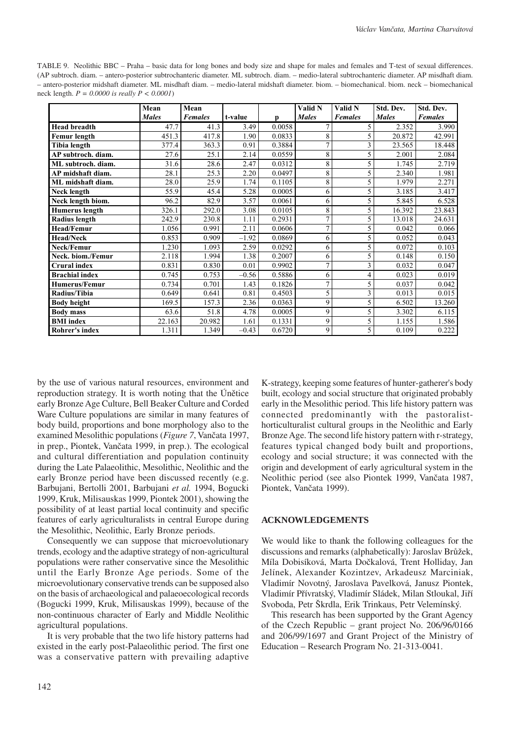TABLE 9. Neolithic BBC – Praha – basic data for long bones and body size and shape for males and females and T-test of sexual differences. (AP subtroch. diam. – antero-posterior subtrochanteric diameter. ML subtroch. diam. – medio-lateral subtrochanteric diameter. AP misdhaft diam. – antero-posterior midshaft diameter. ML misdhaft diam. – medio-lateral midshaft diameter. biom. – biomechanical. biom. neck – biomechanical neck length. *P = 0.0000 is really P < 0.0001*)

|                       | Mean         | Mean           |         |        | Valid N      | Valid N        | Std. Dev.    | Std. Dev.      |
|-----------------------|--------------|----------------|---------|--------|--------------|----------------|--------------|----------------|
|                       | <b>Males</b> | <b>Females</b> | t-value | D      | <b>Males</b> | <b>Females</b> | <b>Males</b> | <b>Females</b> |
| <b>Head breadth</b>   | 47.7         | 41.3           | 3.49    | 0.0058 |              | 5              | 2.352        | 3.990          |
| <b>Femur</b> length   | 451.3        | 417.8          | 1.90    | 0.0833 | 8            | 5              | 20.872       | 42.991         |
| Tibia length          | 377.4        | 363.3          | 0.91    | 0.3884 | 7            | 3              | 23.565       | 18.448         |
| AP subtroch. diam.    | 27.6         | 25.1           | 2.14    | 0.0559 | 8            | 5              | 2.001        | 2.084          |
| ML subtroch. diam.    | 31.6         | 28.6           | 2.47    | 0.0312 | 8            | 5              | 1.745        | 2.719          |
| AP midshaft diam.     | 28.1         | 25.3           | 2.20    | 0.0497 | 8            | 5              | 2.340        | 1.981          |
| ML midshaft diam.     | 28.0         | 25.9           | 1.74    | 0.1105 | 8            | 5              | 1.979        | 2.271          |
| <b>Neck length</b>    | 55.9         | 45.4           | 5.28    | 0.0005 | 6            | 5              | 3.185        | 3.417          |
| Neck length biom.     | 96.2         | 82.9           | 3.57    | 0.0061 | 6            | 5              | 5.845        | 6.528          |
| <b>Humerus</b> length | 326.1        | 292.0          | 3.08    | 0.0105 | 8            | 5              | 16.392       | 23.843         |
| Radius length         | 242.9        | 230.8          | 1.11    | 0.2931 | $\mathbf{r}$ | 5              | 13.018       | 24.631         |
| <b>Head/Femur</b>     | 1.056        | 0.991          | 2.11    | 0.0606 | 7            | 5              | 0.042        | 0.066          |
| <b>Head/Neck</b>      | 0.853        | 0.909          | $-1.92$ | 0.0869 | 6            | 5              | 0.052        | 0.043          |
| Neck/Femur            | 1.230        | 1.093          | 2.59    | 0.0292 | 6            | 5              | 0.072        | 0.103          |
| Neck. biom./Femur     | 2.118        | 1.994          | 1.38    | 0.2007 | 6            | 5              | 0.148        | 0.150          |
| <b>Crural</b> index   | 0.831        | 0.830          | 0.01    | 0.9902 | 7            | 3              | 0.032        | 0.047          |
| <b>Brachial index</b> | 0.745        | 0.753          | $-0.56$ | 0.5886 | 6            | 4              | 0.023        | 0.019          |
| <b>Humerus/Femur</b>  | 0.734        | 0.701          | 1.43    | 0.1826 | 7            | 5              | 0.037        | 0.042          |
| Radius/Tibia          | 0.649        | 0.641          | 0.81    | 0.4503 | 5            | 3              | 0.013        | 0.015          |
| <b>Body height</b>    | 169.5        | 157.3          | 2.36    | 0.0363 | 9            | 5              | 6.502        | 13.260         |
| <b>Body mass</b>      | 63.6         | 51.8           | 4.78    | 0.0005 | $\mathbf Q$  | 5              | 3.302        | 6.115          |
| <b>BMI</b> index      | 22.163       | 20.982         | 1.61    | 0.1331 | 9            | 5              | 1.155        | 1.586          |
| Rohrer's index        | 1.311        | 1.349          | $-0.43$ | 0.6720 | 9            | 5              | 0.109        | 0.222          |

by the use of various natural resources, environment and reproduction strategy. It is worth noting that the Únětice early Bronze Age Culture, Bell Beaker Culture and Corded Ware Culture populations are similar in many features of body build, proportions and bone morphology also to the examined Mesolithic populations (*Figure 7*, Vančata 1997, in prep., Piontek, Vančata 1999, in prep.). The ecological and cultural differentiation and population continuity during the Late Palaeolithic, Mesolithic, Neolithic and the early Bronze period have been discussed recently (e.g. Barbujani, Bertolli 2001, Barbujani *et al.* 1994, Bogucki 1999, Kruk, Milisauskas 1999, Piontek 2001), showing the possibility of at least partial local continuity and specific features of early agriculturalists in central Europe during the Mesolithic, Neolithic, Early Bronze periods.

Consequently we can suppose that microevolutionary trends, ecology and the adaptive strategy of non-agricultural populations were rather conservative since the Mesolithic until the Early Bronze Age periods. Some of the microevolutionary conservative trends can be supposed also on the basis of archaeological and palaeoecological records (Bogucki 1999, Kruk, Milisauskas 1999), because of the non-continuous character of Early and Middle Neolithic agricultural populations.

It is very probable that the two life history patterns had existed in the early post-Palaeolithic period. The first one was a conservative pattern with prevailing adaptive

K-strategy, keeping some features of hunter-gatherer's body built, ecology and social structure that originated probably early in the Mesolithic period. This life history pattern was connected predominantly with the pastoralisthorticulturalist cultural groups in the Neolithic and Early Bronze Age. The second life history pattern with r-strategy, features typical changed body built and proportions, ecology and social structure; it was connected with the origin and development of early agricultural system in the Neolithic period (see also Piontek 1999, Vančata 1987, Piontek, Vančata 1999).

#### **ACKNOWLEDGEMENTS**

We would like to thank the following colleagues for the discussions and remarks (alphabetically): Jaroslav Brůžek, Míla Dobisíková, Marta Dočkalová, Trent Holliday, Jan Jelínek, Alexander Kozintzev, Arkadeusz Marciniak, Vladimír Novotný, Jaroslava Pavelková, Janusz Piontek, Vladimír Přívratský, Vladimír Sládek, Milan Stloukal, Jiří Svoboda, Petr Škrdla, Erik Trinkaus, Petr Velemínský.

This research has been supported by the Grant Agency of the Czech Republic – grant project No. 206/96/0166 and 206/99/1697 and Grant Project of the Ministry of Education – Research Program No. 21-313-0041.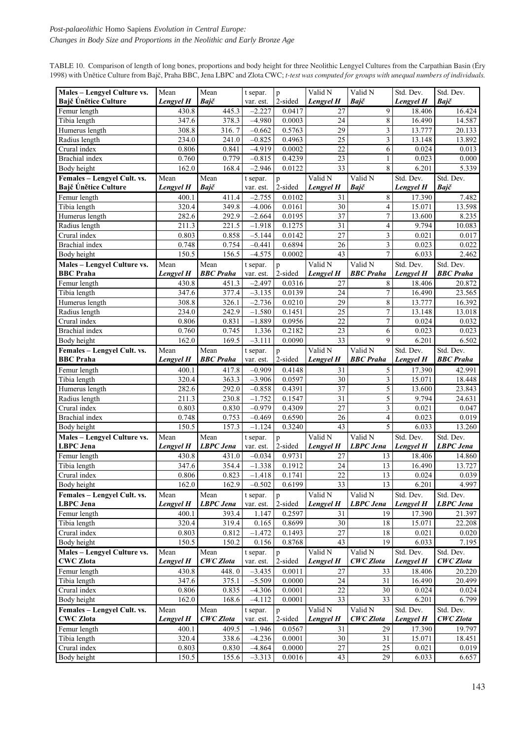TABLE 10. Comparison of length of long bones, proportions and body height for three Neolithic Lengyel Cultures from the Carpathian Basin (Éry 1998) with Únětice Culture from Bajč, Praha BBC, Jena LBPC and Zlota CWC; *t-test was computed for groups with unequal numbers of individuals.*

| Males - Lengyel Culture vs.                     | Mean      | Mean             | t separ.              | p            | Valid N         | Valid N                  | Std. Dev. | Std. Dev.        |
|-------------------------------------------------|-----------|------------------|-----------------------|--------------|-----------------|--------------------------|-----------|------------------|
| Bajč Únětice Culture                            | Lengyel H | Bajč             | var. est.             | 2-sided      | Lengyel H       | Bajč                     | Lengyel H | Bajč             |
| Femur length                                    | 430.8     | 445.3            | $-2.227$              | 0.0417       | 27              | 9                        | 18.406    | 16.424           |
| Tibia length                                    | 347.6     | 378.3            | $-4.980$              | 0.0003       | 24              | 8                        | 16.490    | 14.587           |
| Humerus length                                  | 308.8     | 316.7            | $-0.662$              | 0.5763       | 29              | 3                        | 13.777    | 20.133           |
| Radius length                                   | 234.0     | 241.0            | $-0.825$              | 0.4963       | 25              | 3                        | 13.148    | 13.892           |
| Crural index                                    | 0.806     | 0.841            | $-4.919$              | 0.0002       | 22              | 6                        | 0.024     | 0.013            |
| Brachial index                                  | 0.760     | 0.779            | $-0.815$              | 0.4239       | 23              | $\mathbf{1}$             | 0.023     | 0.000            |
| Body height                                     | 162.0     | 168.4            | $-2.946$              | 0.0122       | 33              | 8                        | 6.201     | 5.339            |
| Females - Lengyel Cult. vs.                     | Mean      | Mean             | t separ.              | p            | Valid N         | Valid N                  | Std. Dev. | Std. Dev.        |
| Bajč Únětice Culture                            | Lengyel H | Bajč             | var. est.             | 2-sided      | Lengyel H       | Bajč                     | Lengyel H | Bajč             |
| Femur length                                    | 400.1     | 411.4            | $-2.755$              | 0.0102       | 31              | 8                        | 17.390    | 7.482            |
| Tibia length                                    | 320.4     | 349.8            | $-4.006$              | 0.0161       | 30              | $\overline{4}$           | 15.071    | 13.598           |
| Humerus length                                  | 282.6     | 292.9            | $-2.664$              | 0.0195       | 37              | $\sqrt{ }$               | 13.600    | 8.235            |
| Radius length                                   | 211.3     | 221.5            | $-1.918$              | 0.1275       | 31              | $\overline{\mathcal{L}}$ | 9.794     | 10.083           |
| Crural index                                    | 0.803     | 0.858            | $-5.144$              | 0.0142       | 27              | 3                        | 0.021     | 0.017            |
| Brachial index                                  | 0.748     | 0.754            | $-0.441$              | 0.6894       | 26              | 3                        | 0.023     | 0.022            |
| Body height                                     | 150.5     | 156.5            | $-4.575$              | 0.0002       | 43              | 7                        | 6.033     | 2.462            |
| Males - Lengyel Culture vs.                     | Mean      | Mean             | t separ.              | p            | Valid N         | Valid N                  | Std. Dev. | Std. Dev.        |
| <b>BBC</b> Praha                                | Lengyel H | <b>BBC</b> Praha | var. est.             | 2-sided      | Lengyel H       | <b>BBC</b> Praha         | Lengyel H | <b>BBC</b> Praha |
| Femur length                                    | 430.8     | 451.3            | $-2.497$              | 0.0316       | 27              | 8                        | 18.406    | 20.872           |
| Tibia length                                    | 347.6     | 377.4            | $-3.135$              | 0.0139       | 24              | $\sqrt{ }$               | 16.490    | 23.565           |
| Humerus length                                  | 308.8     | 326.1            | $-2.736$              | 0.0210       | 29              | 8                        | 13.777    | 16.392           |
| Radius length                                   | 234.0     | 242.9            | $-1.580$              | 0.1451       | 25              | $\boldsymbol{7}$         | 13.148    | 13.018           |
| Crural index                                    | 0.806     | 0.831            | $-1.889$              | 0.0956       | 22              | 7                        | 0.024     | 0.032            |
| Brachial index                                  | 0.760     | 0.745            | 1.336                 | 0.2182       | 23              | 6                        | 0.023     | 0.023            |
| Body height                                     | 162.0     | 169.5            | $-3.111$              | 0.0090       | 33              | 9                        | 6.201     | 6.502            |
| Females - Lengyel Cult. vs.                     | Mean      | Mean             | t separ.              | p            | Valid N         | Valid N                  | Std. Dev. | Std. Dev.        |
| <b>BBC</b> Praha                                | Lengyel H | <b>BBC</b> Praha | var. est.             | 2-sided      | Lengyel H       | <b>BBC Praha</b>         | Lengyel H | <b>BBC</b> Praha |
| Femur length                                    | 400.1     | 417.8            | $-0.909$              | 0.4148       | 31              | 5                        | 17.390    | 42.991           |
| Tibia length                                    | 320.4     | 363.3            | $-3.906$              | 0.0597       | 30              | 3                        | 15.071    | 18.448           |
| Humerus length                                  | 282.6     | 292.0            | $-0.858$              | 0.4391       | 37              | 5                        | 13.600    | 23.843           |
| Radius length                                   | 211.3     | 230.8            | $-1.752$              | 0.1547       | 31              | 5                        | 9.794     | 24.631           |
| Crural index                                    |           |                  |                       |              |                 |                          |           |                  |
|                                                 | 0.803     | 0.830            | $-0.979$              | 0.4309       | 27              | 3                        | 0.021     | 0.047            |
| Brachial index                                  | 0.748     | 0.753            | $-0.469$              | 0.6590       | 26              | 4                        | 0.023     | 0.019            |
| Body height                                     | 150.5     | 157.3            | $-1.124$              | 0.3240       | 43              | 5                        | 6.033     | 13.260           |
| Males - Lengyel Culture vs.                     | Mean      | Mean             | t separ.              |              | Valid N         | Valid N                  | Std. Dev. | Std. Dev.        |
| <b>LBPC</b> Jena                                | Lengyel H | <b>LBPC</b> Jena | var. est.             | p<br>2-sided | Lengyel H       | <b>LBPC</b> Jena         | Lengyel H | <b>LBPC</b> Jena |
| Femur length                                    | 430.8     | 431.0            | $-0.034$              | 0.9731       | 27              | 13                       | 18.406    | 14.860           |
| Tibia length                                    | 347.6     | 354.4            | $-1.338$              | 0.1912       | 24              | 13                       | 16.490    | 13.727           |
| Crural index                                    | 0.806     | 0.823            | $-1.418$              | 0.1741       | $\overline{22}$ | 13                       | 0.024     | 0.039            |
| Body height                                     | 162.0     | 162.9            | $-0.502$              | 0.6199       | 33              | 13                       | 6.201     | 4.997            |
| Females - Lengyel Cult. vs.                     | Mean      | Mean             | t separ.              | $\mathbf{p}$ | Valid N         | Valid N                  | Std. Dev. | Std. Dev.        |
| <b>LBPC</b> Jena                                | Lengyel H | <b>LBPC</b> Jena | var. est.             | 2-sided      | Lengyel H       | <b>LBPC</b> Jena         | Lengyel H | <b>LBPC</b> Jena |
| Femur length                                    | 400.1     | 393.4            | 1.147                 | 0.2597       | 31              | 19                       | 17.390    | 21.397           |
| Tibia length                                    | 320.4     | 319.4            | 0.165                 | 0.8699       | 30              | $18\,$                   | 15.071    | 22.208           |
| Crural index                                    | 0.803     | 0.812            | $-1.472$              | 0.1493       | $27\,$          | 18                       | 0.021     | 0.020            |
| Body height                                     | 150.5     | 150.2            | 0.156                 | 0.8768       | 43              | 19                       | 6.033     | 7.195            |
| Males - Lengyel Culture vs.                     | Mean      | Mean             | t separ.              | p            | Valid N         | Valid N                  | Std. Dev. | Std. Dev.        |
| <b>CWC Zlota</b>                                | Lengyel H | <b>CWC</b> Zlota | var. est.             | 2-sided      | Lengyel H       | <b>CWC</b> Zlota         | Lengyel H | <b>CWC</b> Zlota |
| Femur length                                    | 430.8     | 448.0            | $-3.435$              | 0.0011       | 27              | 33                       | 18.406    | 20.220           |
| Tibia length                                    | 347.6     | 375.1            | $-5.509$              | 0.0000       | 24              | 31                       | 16.490    | 20.499           |
| Crural index                                    | 0.806     | 0.835            | $-4.306$              | 0.0001       | 22              | 30                       | 0.024     | 0.024            |
| Body height                                     | 162.0     | 168.6            | $-4.112$              | 0.0001       | 33              | $\overline{33}$          | 6.201     | 6.799            |
|                                                 | Mean      | Mean             |                       | p            | Valid N         | Valid N                  | Std. Dev. | Std. Dev.        |
| Females - Lengyel Cult. vs.<br><b>CWC Zlota</b> | Lengyel H | <b>CWC</b> Zlota | t separ.<br>var. est. | 2-sided      | Lengyel H       | <b>CWC</b> Zlota         | Lengyel H | <b>CWC</b> Zlota |
| Femur length                                    | 400.1     | 409.5            | $-1.946$              | 0.0567       | 31              | 29                       | 17.390    | 19.797           |
| Tibia length                                    | 320.4     | 338.6            | $-4.236$              | 0.0001       | 30              | 31                       | 15.071    | 18.451           |
| Crural index                                    | 0.803     | 0.830            | $-4.864$              | 0.0000       | 27              | 25                       | 0.021     | 0.019            |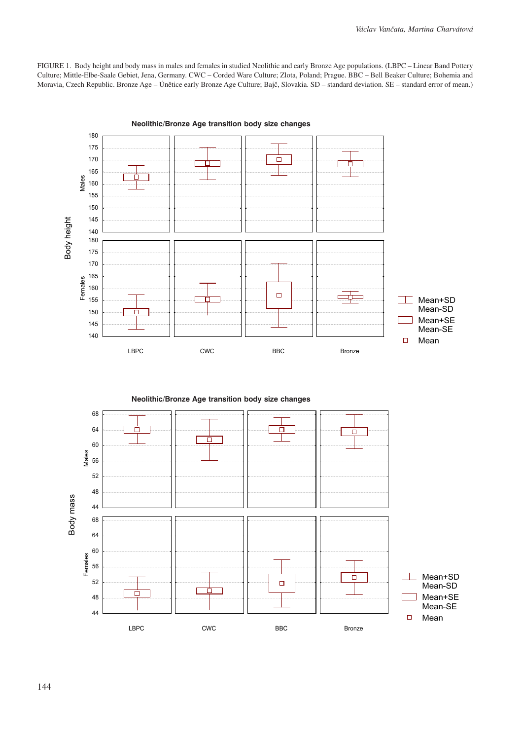FIGURE 1. Body height and body mass in males and females in studied Neolithic and early Bronze Age populations. (LBPC – Linear Band Pottery Culture; Mittle-Elbe-Saale Gebiet, Jena, Germany. CWC – Corded Ware Culture; Zlota, Poland; Prague. BBC – Bell Beaker Culture; Bohemia and Moravia, Czech Republic. Bronze Age – Únětice early Bronze Age Culture; Bajč, Slovakia. SD – standard deviation. SE – standard error of mean.)



Neolithic/Bronze transition body size changes **Neolithic/Bronze Age transition body size changes**

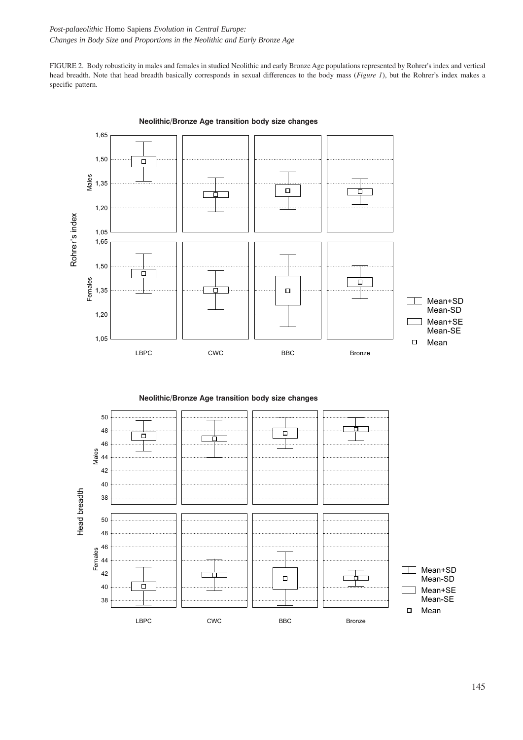*Post-palaeolithic* Homo Sapiens *Evolution in Central Europe: Changes in Body Size and Proportions in the Neolithic and Early Bronze Age*

FIGURE 2. Body robusticity in males and females in studied Neolithic and early Bronze Age populations represented by Rohrer's index and vertical head breadth. Note that head breadth basically corresponds in sexual differences to the body mass (*Figure 1*), but the Rohrer's index makes a specific pattern.



Neolithic/Bronze transition body size changes **Neolithic/Bronze Age transition body size changes**

Neolithic/Bronze transition body size changes **Neolithic/Bronze Age transition body size changes**

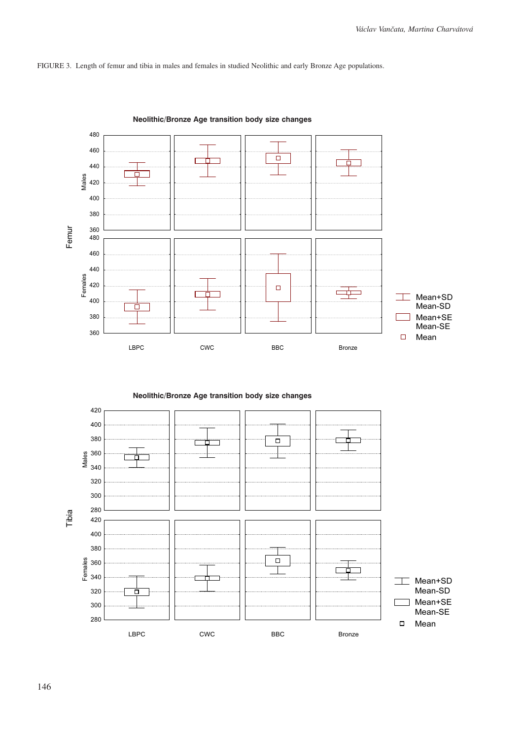FIGURE 3. Length of femur and tibia in males and females in studied Neolithic and early Bronze Age populations.



Neolithic/Bronze transition body size changes **Neolithic/Bronze Age transition body size changes**

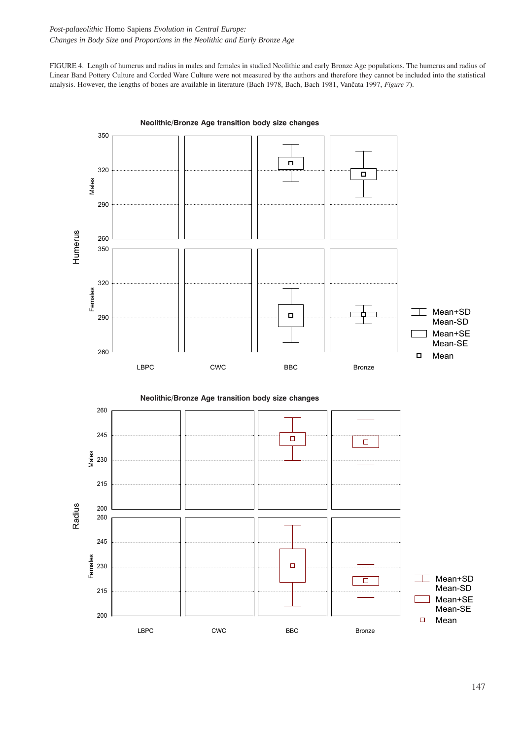FIGURE 4. Length of humerus and radius in males and females in studied Neolithic and early Bronze Age populations. The humerus and radius of Linear Band Pottery Culture and Corded Ware Culture were not measured by the authors and therefore they cannot be included into the statistical analysis. However, the lengths of bones are available in literature (Bach 1978, Bach, Bach 1981, Vančata 1997, *Figure 7*).



Neolithic/Bronze transition body size changes **Neolithic/Bronze Age transition body size changes**



147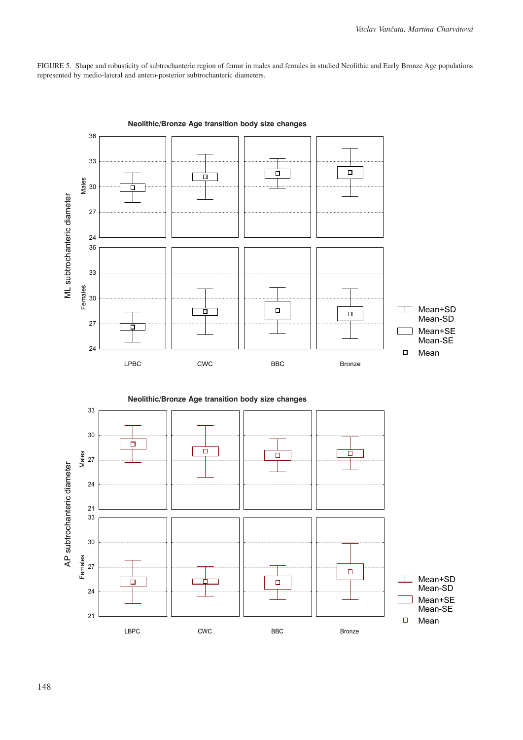FIGURE 5. Shape and robusticity of subtrochanteric region of femur in males and females in studied Neolithic and Early Bronze Age populations represented by medio-lateral and antero-posterior subtrochanteric diameters.





148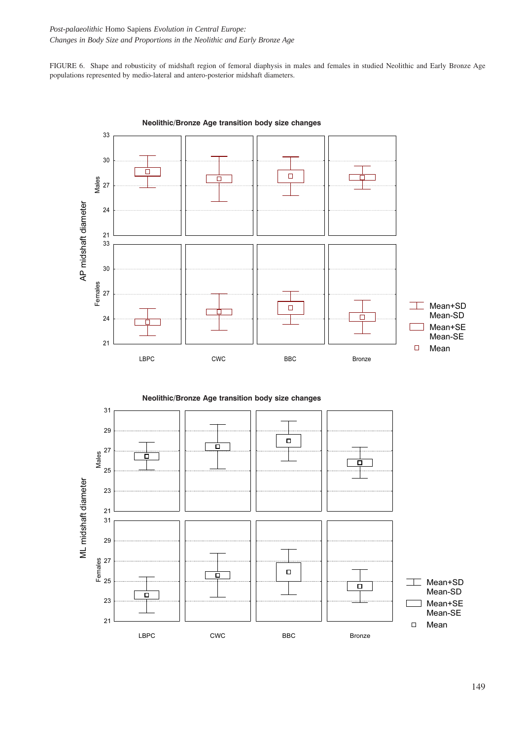FIGURE 6. Shape and robusticity of midshaft region of femoral diaphysis in males and females in studied Neolithic and Early Bronze Age populations represented by medio-lateral and antero-posterior midshaft diameters.



Neolithic/Bronze transition body size changes **Neolithic/Bronze Age transition body size changes**



149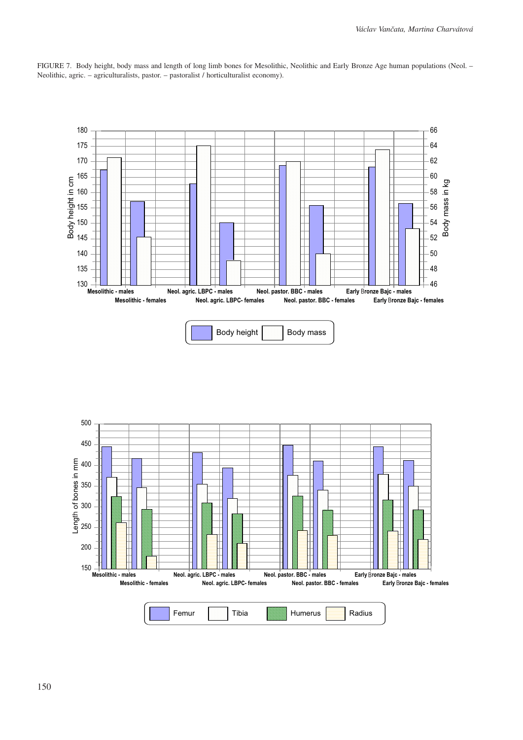

FIGURE 7. Body height, body mass and length of long limb bones for Mesolithic, Neolithic and Early Bronze Age human populations (Neol. – Neolithic, agric. – agriculturalists, pastor. – pastoralist / horticulturalist economy).

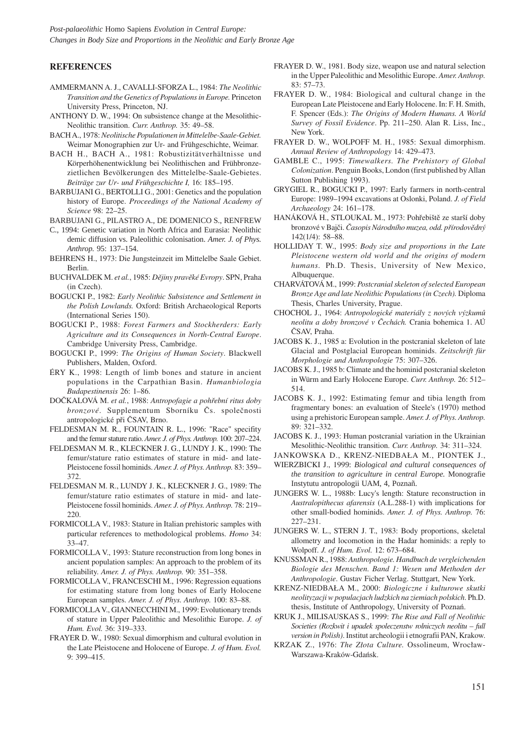*Post-palaeolithic* Homo Sapiens *Evolution in Central Europe: Changes in Body Size and Proportions in the Neolithic and Early Bronze Age*

#### **REFERENCES**

- AMMERMANN A. J., CAVALLI-SFORZA L., 1984: *The Neolithic Transition and the Genetics of Populations in Europe.* Princeton University Press, Princeton, NJ.
- ANTHONY D. W., 1994: On subsistence change at the Mesolithic-Neolithic transition. *Curr. Anthrop.* 35: 49–58.
- BACH A., 1978: *Neolitische Populationen in Mittelelbe-Saale-Gebiet.* Weimar Monographien zur Ur- and Frühgeschichte, Weimar.
- BACH H., BACH A., 1981: Robustizitätverhältnisse und Körperhöhenentwicklung bei Neolithischen and Frühbronzezietlichen Bevölkerungen des Mittelelbe-Saale-Gebietes. *Beiträge zur Ur- und Frühgeschichte I,* 16: 185–195.
- BARBUJANI G., BERTOLLI G., 2001: Genetics and the population history of Europe. *Proceedings of the National Academy of Science* 98: 22–25.
- BARBUJANI G., PILASTRO A., DE DOMENICO S., RENFREW
- C., 1994: Genetic variation in North Africa and Eurasia: Neolithic demic diffusion vs. Paleolithic colonisation. *Amer. J. of Phys. Anthrop.* 95: 137–154.
- BEHRENS H., 1973: Die Jungsteinzeit im Mittelelbe Saale Gebiet. Berlin.
- BUCHVALDEK M. *et al.*, 1985: *Dějiny pravěké Evropy*. SPN, Praha (in Czech).
- BOGUCKI P., 1982: *Early Neolithic Subsistence and Settlement in the Polish Lowlands.* Oxford: British Archaeological Reports (International Series 150).
- BOGUCKI P., 1988: *Forest Farmers and Stockherders: Early Agriculture and its Consequences in North-Central Europe*. Cambridge University Press, Cambridge.
- BOGUCKI P., 1999: *The Origins of Human Society*. Blackwell Publishers, Malden, Oxford.
- ÉRY K., 1998: Length of limb bones and stature in ancient populations in the Carpathian Basin. *Humanbiologia Budapestinensis* 26: 1–86.
- DOČKALOVÁ M. *et al.*, 1988: *Antropofagie a pohřební ritus doby bronzové*. Supplementum Sborníku Čs. společnosti antropologické při ČSAV, Brno.
- FELDESMAN M. R., FOUNTAIN R. L., 1996: "Race" specifity and the femur stature ratio. *Amer. J. of Phys. Anthrop.* 100: 207–224.
- FELDESMAN M. R., KLECKNER J. G., LUNDY J. K., 1990: The femur/stature ratio estimates of stature in mid- and late-Pleistocene fossil hominids. *Amer. J. of Phys. Anthrop.* 83: 359– 372.
- FELDESMAN M. R., LUNDY J. K., KLECKNER J. G., 1989: The femur/stature ratio estimates of stature in mid- and late-Pleistocene fossil hominids. *Amer. J. of Phys. Anthrop.* 78: 219– 220.
- FORMICOLLA V., 1983: Stature in Italian prehistoric samples with particular references to methodological problems. *Homo* 34: 33–47.
- FORMICOLLA V., 1993: Stature reconstruction from long bones in ancient population samples: An approach to the problem of its reliability. *Amer. J. of Phys. Anthrop.* 90: 351–358.
- FORMICOLLA V., FRANCESCHI M., 1996: Regression equations for estimating stature from long bones of Early Holocene European samples. *Amer. J. of Phys. Anthrop.* 100: 83–88.
- FORMICOLLA V., GIANNECCHINI M., 1999: Evolutionary trends of stature in Upper Paleolithic and Mesolithic Europe. *J. of Hum. Evol.* 36: 319–333.
- FRAYER D. W., 1980: Sexual dimorphism and cultural evolution in the Late Pleistocene and Holocene of Europe. *J. of Hum. Evol.* 9: 399–415.
- FRAYER D. W., 1981. Body size, weapon use and natural selection in the Upper Paleolithic and Mesolithic Europe. *Amer. Anthrop.* 83: 57–73.
- FRAYER D. W., 1984: Biological and cultural change in the European Late Pleistocene and Early Holocene. In: F. H. Smith, F. Spencer (Eds.): *The Origins of Modern Humans. A World Survey of Fossil Evidence*. Pp. 211–250. Alan R. Liss, Inc., New York.
- FRAYER D. W., WOLPOFF M. H., 1985: Sexual dimorphism. *Annual Review of Anthropology* 14: 429–473.
- GAMBLE C., 1995: *Timewalkers. The Prehistory of Global Colonization*. Penguin Books, London (first published by Allan Sutton Publishing 1993).
- GRYGIEL R., BOGUCKI P., 1997: Early farmers in north-central Europe: 1989–1994 excavations at Oslonki, Poland. *J. of Field Archaeology* 24: 161–178.
- HANÁKOVÁ H., STLOUKAL M., 1973: Pohřebiště ze starší doby bronzové v Bajči. *Časopis Národního muzea, odd. přírodovědný* 142(1/4): 58–88.
- HOLLIDAY T. W., 1995: *Body size and proportions in the Late Pleistocene western old world and the origins of modern humans.* Ph.D. Thesis, University of New Mexico, Albuquerque.
- CHARVÁTOVÁ M., 1999: *Postcranial skeleton of selected European Bronze Age and late Neolithic Populations (in Czech).* Diploma Thesis, Charles University, Prague.
- CHOCHOL J., 1964: *Antropologické materiály z nových výzkumů neolitu a doby bronzové v Čechách.* Crania bohemica 1. AÚ ČSAV, Praha.
- JACOBS K. J., 1985 a: Evolution in the postcranial skeleton of late Glacial and Postglacial European hominids. *Zeitschrift für Morphologie und Anthropologie* 75: 307–326.
- JACOBS K. J., 1985 b: Climate and the hominid postcranial skeleton in Würm and Early Holocene Europe. *Curr. Anthrop.* 26: 512– 514.
- JACOBS K. J., 1992: Estimating femur and tibia length from fragmentary bones: an evaluation of Steele's (1970) method using a prehistoric European sample. *Amer. J. of Phys. Anthrop.* 89: 321–332.
- JACOBS K. J., 1993: Human postcranial variation in the Ukrainian Mesolithic-Neolithic transition. *Curr. Anthrop.* 34: 311–324.
- JANKOWSKA D., KRENZ-NIEDBAŁA M., PIONTEK J.,
- WIERZBICKI J., 1999: *Biological and cultural consequences of the transition to agriculture in central Europe.* Monografie Instytutu antropologii UAM, 4, Poznañ.
- JUNGERS W. L., 1988b: Lucy's length: Stature reconstruction in *Australopithecus afarensis* (A.L.288-1) with implications for other small-bodied hominids. *Amer. J. of Phys. Anthrop.* 76: 227–231.
- JUNGERS W. L., STERN J. T., 1983: Body proportions, skeletal allometry and locomotion in the Hadar hominids: a reply to Wolpoff. *J. of Hum. Evol.* 12: 673–684.
- KNUSSMAN R., 1988: *Anthropologie. Handbuch de vergleichenden Biologie des Menschen. Band 1: Wesen und Methoden der Anthropologie*. Gustav Ficher Verlag. Stuttgart, New York.
- KRENZ-NIEDBAŁA M., 2000: *Biologiczne i kulturowe skutki neolityzacji w populacjach ludzkich na ziemiach polskich*. Ph.D. thesis, Institute of Anthropology, University of Poznań.
- KRUK J., MILISAUSKAS S., 1999: *The Rise and Fall of Neolithic Societies (Rozkwit i upadek spoleczenstw rolniczych neolitu – full version in Polish)*. Institut archeologii i etnografii PAN, Krakow.
- KRZAK Z., 1976: *The Złota Culture.* Ossolineum, Wrocław-Warszawa-Kraków-Gdańsk.